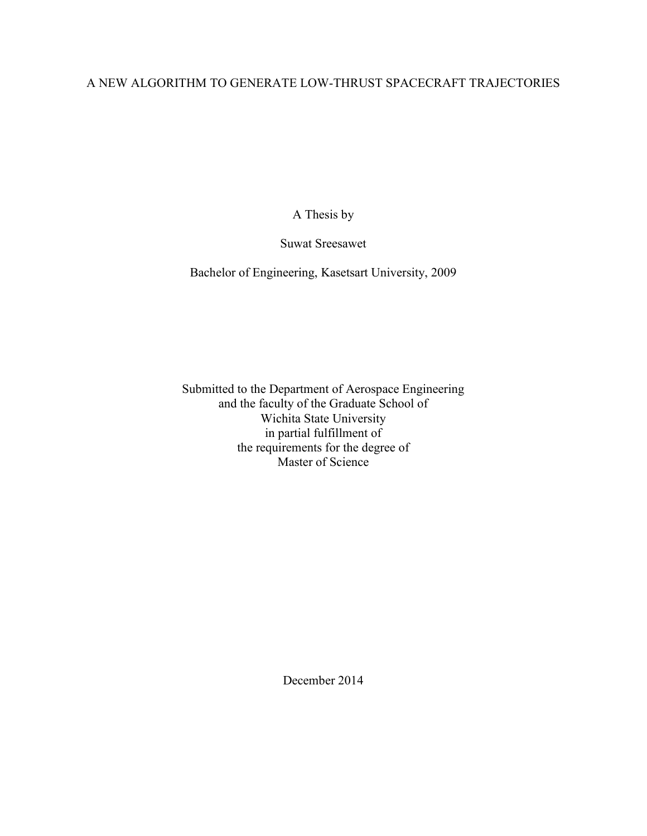### A NEW ALGORITHM TO GENERATE LOW-THRUST SPACECRAFT TRAJECTORIES

A Thesis by

Suwat Sreesawet

Bachelor of Engineering, Kasetsart University, 2009

Submitted to the Department of Aerospace Engineering and the faculty of the Graduate School of Wichita State University in partial fulfillment of the requirements for the degree of Master of Science

December 2014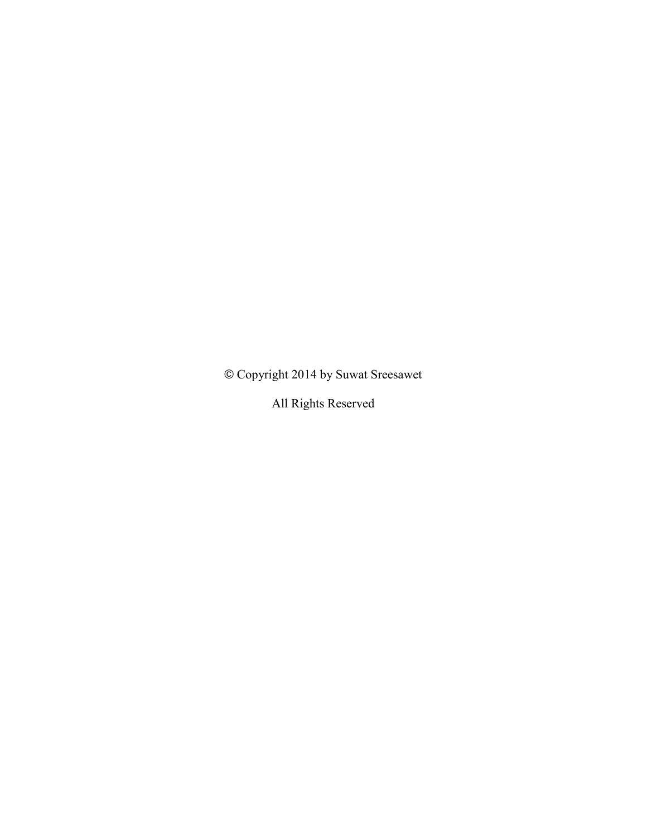© Copyright 2014 by Suwat Sreesawet

All Rights Reserved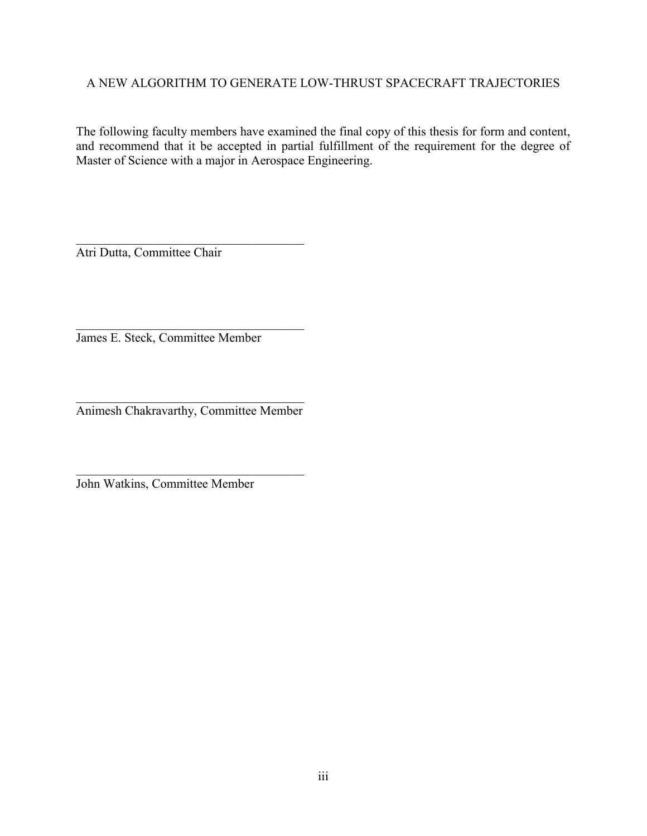### A NEW ALGORITHM TO GENERATE LOW-THRUST SPACECRAFT TRAJECTORIES

The following faculty members have examined the final copy of this thesis for form and content, and recommend that it be accepted in partial fulfillment of the requirement for the degree of Master of Science with a major in Aerospace Engineering.

Atri Dutta, Committee Chair

 $\_$ James E. Steck, Committee Member

 $\_$ Animesh Chakravarthy, Committee Member

 $\_$ 

 $\_$ 

John Watkins, Committee Member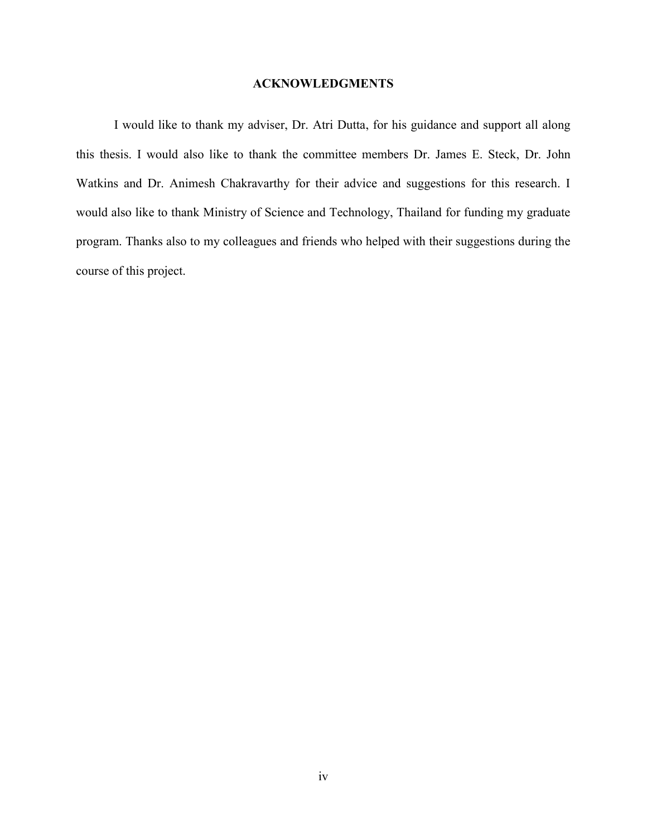### **ACKNOWLEDGMENTS**

I would like to thank my adviser, Dr. Atri Dutta, for his guidance and support all along this thesis. I would also like to thank the committee members Dr. James E. Steck, Dr. John Watkins and Dr. Animesh Chakravarthy for their advice and suggestions for this research. I would also like to thank Ministry of Science and Technology, Thailand for funding my graduate program. Thanks also to my colleagues and friends who helped with their suggestions during the course of this project.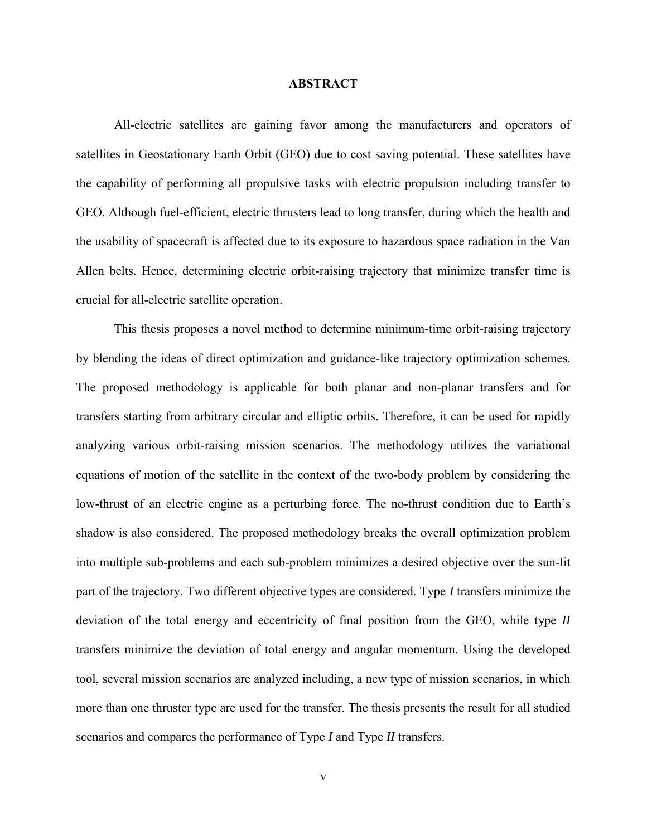### **ABSTRACT**

All-electric satellites are gaining favor among the manufacturers and operators of satellites in Geostationary Earth Orbit (GEO) due to cost saving potential. These satellites have the capability of performing all propulsive tasks with electric propulsion including transfer to GEO. Although fuel-efficient, electric thrusters lead to long transfer, during which the health and the usability of spacecraft is affected due to its exposure to hazardous space radiation in the Van Allen belts. Hence, determining electric orbit-raising trajectory that minimize transfer time is crucial for all-electric satellite operation.

This thesis proposes a novel method to determine minimum-time orbit-raising trajectory by blending the ideas of direct optimization and guidance-like trajectory optimization schemes. The proposed methodology is applicable for both planar and non-planar transfers and for transfers starting from arbitrary circular and elliptic orbits. Therefore, it can be used for rapidly analyzing various orbit-raising mission scenarios. The methodology utilizes the variational equations of motion of the satellite in the context of the two-body problem by considering the low-thrust of an electric engine as a perturbing force. The no-thrust condition due to Earth's shadow is also considered. The proposed methodology breaks the overall optimization problem into multiple sub-problems and each sub-problem minimizes a desired objective over the sun-lit part of the trajectory. Two different objective types are considered. Type *I* transfers minimize the deviation of the total energy and eccentricity of final position from the GEO, while type *II* transfers minimize the deviation of total energy and angular momentum. Using the developed tool, several mission scenarios are analyzed including, a new type of mission scenarios, in which more than one thruster type are used for the transfer. The thesis presents the result for all studied scenarios and compares the performance of Type *I* and Type *II* transfers.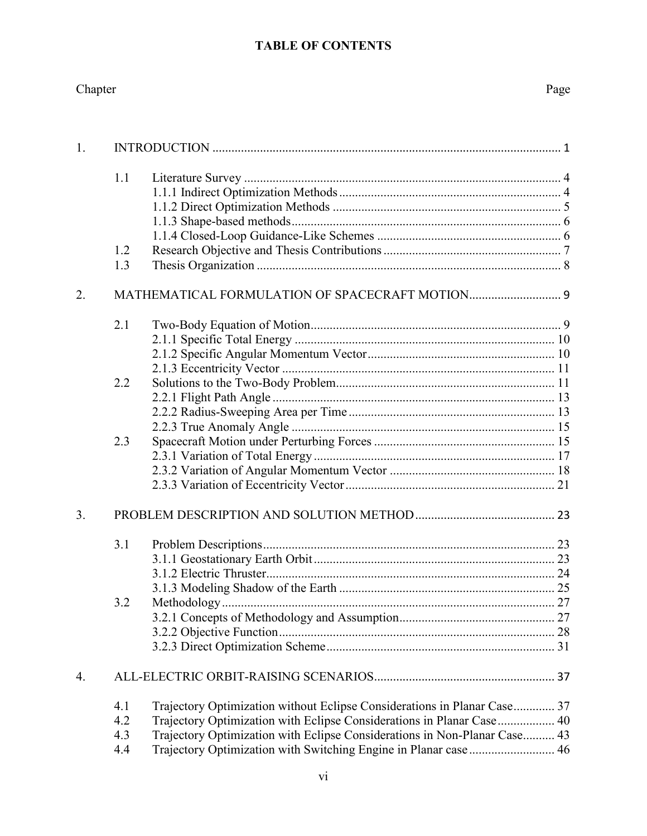### **TABLE OF CONTENTS**

| Chapter | Page |
|---------|------|
|         |      |

| 1.             |     |                                                                           |  |  |  |  |
|----------------|-----|---------------------------------------------------------------------------|--|--|--|--|
|                | 1.1 |                                                                           |  |  |  |  |
|                | 1.2 |                                                                           |  |  |  |  |
|                | 1.3 |                                                                           |  |  |  |  |
| 2.             |     |                                                                           |  |  |  |  |
|                | 2.1 |                                                                           |  |  |  |  |
|                |     |                                                                           |  |  |  |  |
|                |     |                                                                           |  |  |  |  |
|                | 2.2 |                                                                           |  |  |  |  |
|                |     |                                                                           |  |  |  |  |
|                |     |                                                                           |  |  |  |  |
|                |     |                                                                           |  |  |  |  |
|                | 2.3 |                                                                           |  |  |  |  |
|                |     |                                                                           |  |  |  |  |
|                |     |                                                                           |  |  |  |  |
|                |     |                                                                           |  |  |  |  |
| 3 <sub>1</sub> |     |                                                                           |  |  |  |  |
|                | 3.1 |                                                                           |  |  |  |  |
|                |     |                                                                           |  |  |  |  |
|                |     |                                                                           |  |  |  |  |
|                |     |                                                                           |  |  |  |  |
|                | 3.2 |                                                                           |  |  |  |  |
|                |     |                                                                           |  |  |  |  |
|                |     |                                                                           |  |  |  |  |
| 4.             |     |                                                                           |  |  |  |  |
|                | 4.1 | Trajectory Optimization without Eclipse Considerations in Planar Case 37  |  |  |  |  |
|                | 4.2 | Trajectory Optimization with Eclipse Considerations in Planar Case 40     |  |  |  |  |
|                | 4.3 | Trajectory Optimization with Eclipse Considerations in Non-Planar Case 43 |  |  |  |  |
|                | 4.4 | Trajectory Optimization with Switching Engine in Planar case  46          |  |  |  |  |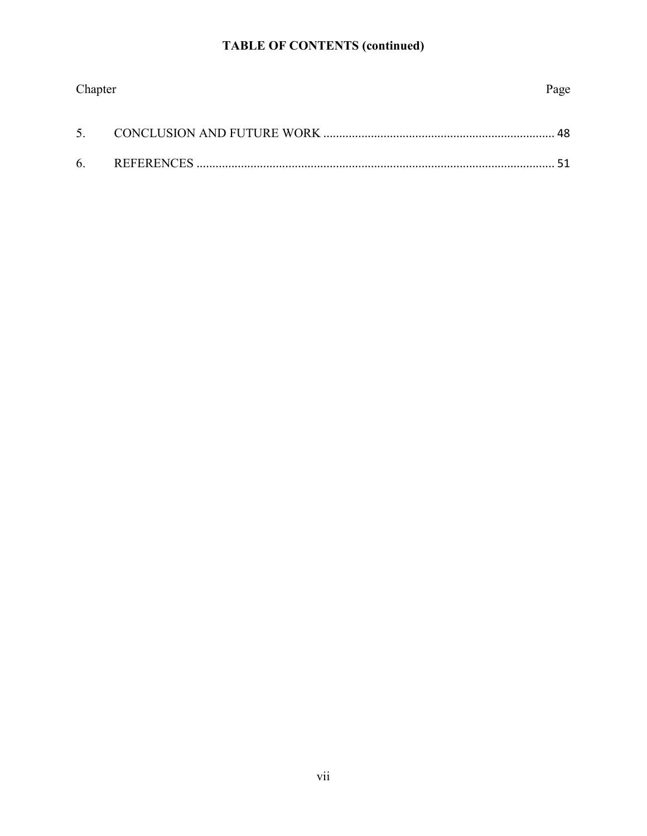# **TABLE OF CONTENTS (continued)**

| Chapter | Page |
|---------|------|
|         |      |
|         |      |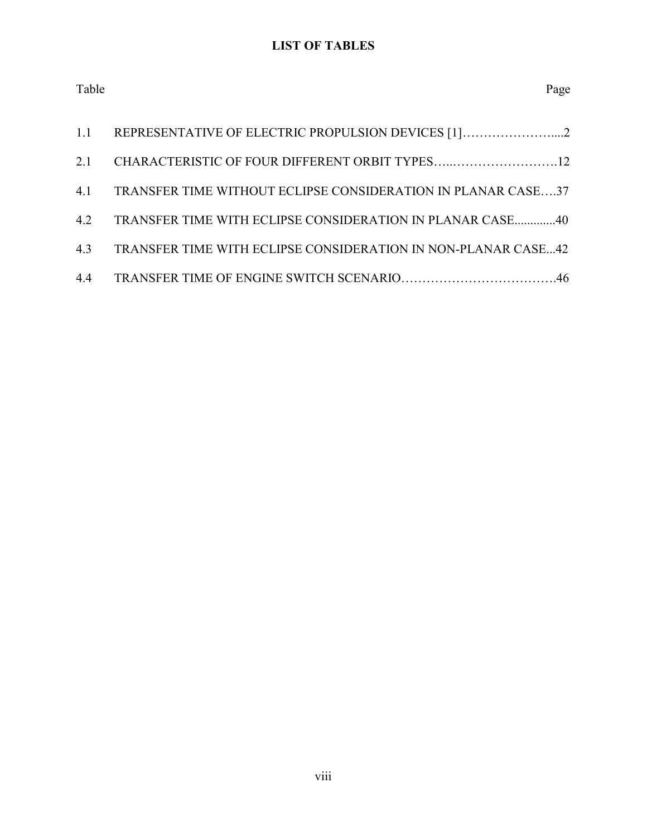### **LIST OF TABLES**

| Table | Page |
|-------|------|
|-------|------|

| 1.1 REPRESENTATIVE OF ELECTRIC PROPULSION DEVICES [1]2            |  |
|-------------------------------------------------------------------|--|
| 2.1 CHARACTERISTIC OF FOUR DIFFERENT ORBIT TYPES12                |  |
| 4.1 TRANSFER TIME WITHOUT ECLIPSE CONSIDERATION IN PLANAR CASE37  |  |
| 4.2 TRANSFER TIME WITH ECLIPSE CONSIDERATION IN PLANAR CASE40     |  |
| 4.3 TRANSFER TIME WITH ECLIPSE CONSIDERATION IN NON-PLANAR CASE42 |  |
|                                                                   |  |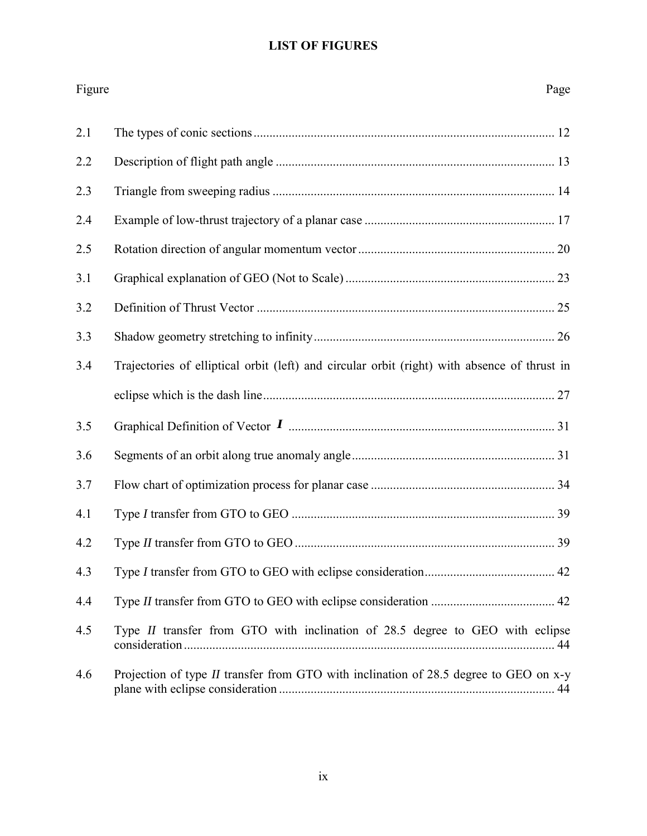### **LIST OF FIGURES**

| Figure | Page                                                                                         |
|--------|----------------------------------------------------------------------------------------------|
| 2.1    |                                                                                              |
| 2.2    |                                                                                              |
| 2.3    |                                                                                              |
| 2.4    |                                                                                              |
| 2.5    |                                                                                              |
| 3.1    |                                                                                              |
| 3.2    |                                                                                              |
| 3.3    |                                                                                              |
| 3.4    | Trajectories of elliptical orbit (left) and circular orbit (right) with absence of thrust in |
|        |                                                                                              |
| 3.5    |                                                                                              |
| 3.6    |                                                                                              |
| 3.7    |                                                                                              |
| 4.1    |                                                                                              |
| 4.2    |                                                                                              |
| 4.3    |                                                                                              |
| 4.4    |                                                                                              |
| 4.5    | Type <i>II</i> transfer from GTO with inclination of 28.5 degree to GEO with eclipse         |
| 4.6    | Projection of type <i>II</i> transfer from GTO with inclination of 28.5 degree to GEO on x-y |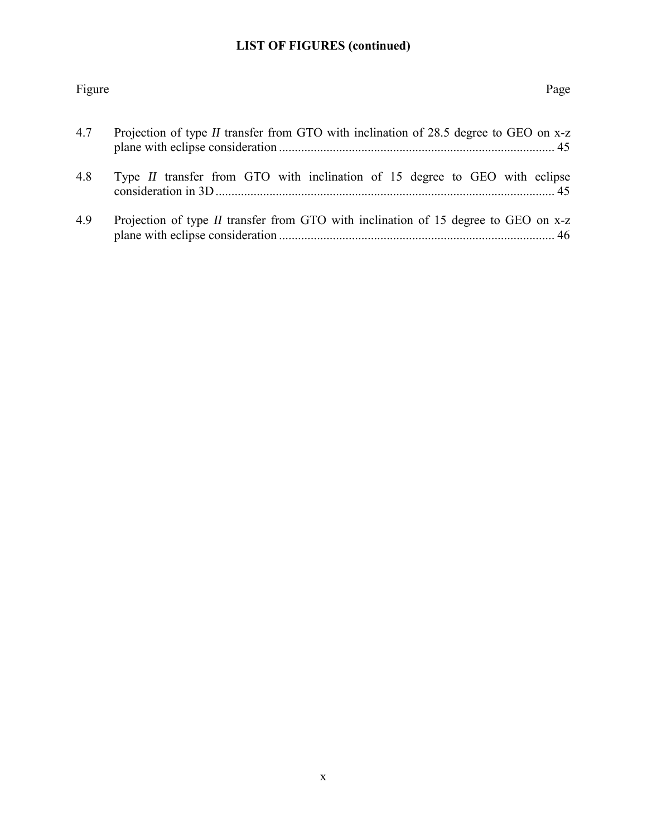### **LIST OF FIGURES (continued)**

# Figure Page 4.7 Projection of type *II* [transfer from GTO with inclination of 28.5 degree to GEO on x-z](#page-57-0)  [plane with eclipse consideration ....................................................................................... 45](#page-57-0) 4.8 Type *II* [transfer from GTO with inclination of 15 degree to GEO with eclipse](#page-57-1)  [consideration in 3D ........................................................................................................... 45](#page-57-1) 4.9 Projection of type *II* [transfer from GTO with inclination of 15 degree to GEO on x-z](#page-58-1)  [plane with eclipse consideration ....................................................................................... 46](#page-58-1)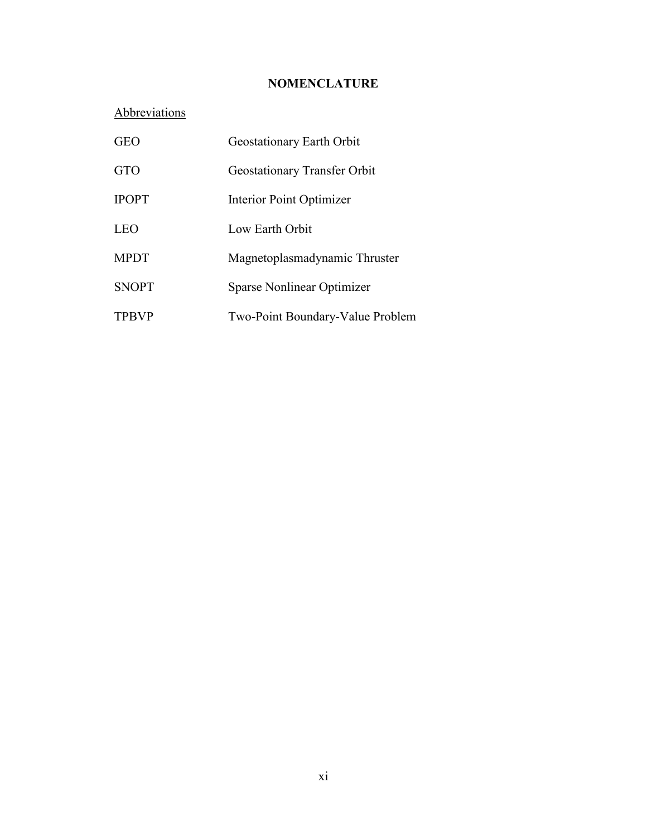### **NOMENCLATURE**

# **Abbreviations**

| <b>GEO</b>   | Geostationary Earth Orbit           |
|--------------|-------------------------------------|
| <b>GTO</b>   | <b>Geostationary Transfer Orbit</b> |
| <b>IPOPT</b> | Interior Point Optimizer            |
| LEO          | Low Earth Orbit                     |
| <b>MPDT</b>  | Magnetoplasmadynamic Thruster       |
| <b>SNOPT</b> | Sparse Nonlinear Optimizer          |
| <b>TPBVP</b> | Two-Point Boundary-Value Problem    |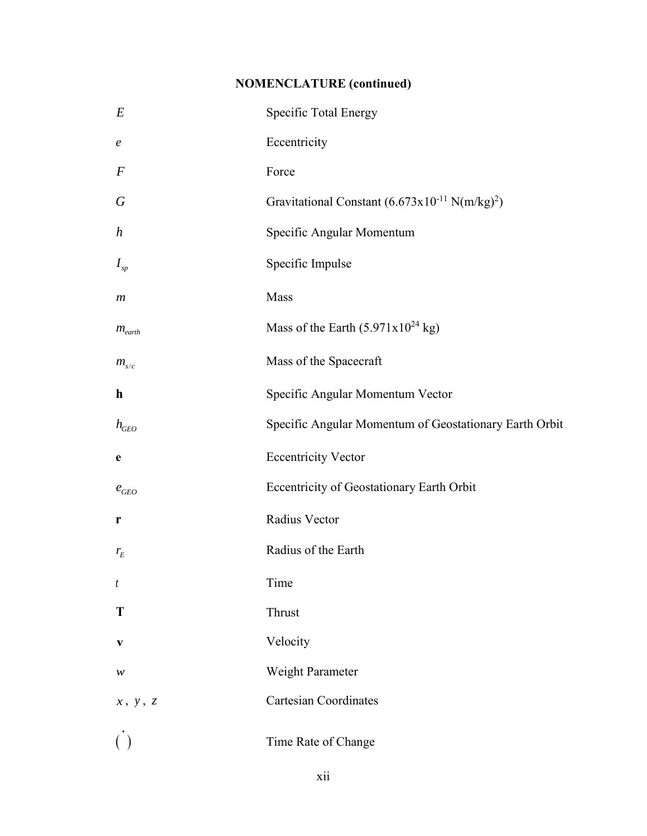# **NOMENCLATURE (continued)**

| $E_{\rm}$                    | Specific Total Energy                                                      |
|------------------------------|----------------------------------------------------------------------------|
| $\boldsymbol{e}$             | Eccentricity                                                               |
| $\boldsymbol{F}$             | Force                                                                      |
| $\boldsymbol{G}$             | Gravitational Constant $(6.673 \times 10^{-11} \text{ N} (\text{m/kg})^2)$ |
| $\boldsymbol{h}$             | Specific Angular Momentum                                                  |
| $I_{sp}$                     | Specific Impulse                                                           |
| $\boldsymbol{m}$             | Mass                                                                       |
| $m_{earth}$                  | Mass of the Earth $(5.971 \times 10^{24} \text{ kg})$                      |
| $m_{s/c}$                    | Mass of the Spacecraft                                                     |
| $\mathbf h$                  | Specific Angular Momentum Vector                                           |
| $h_{GEO}$                    | Specific Angular Momentum of Geostationary Earth Orbit                     |
| e                            | <b>Eccentricity Vector</b>                                                 |
| $e_{\scriptscriptstyle GEO}$ | Eccentricity of Geostationary Earth Orbit                                  |
| r                            | Radius Vector                                                              |
| $r_{E}$                      | Radius of the Earth                                                        |
| t                            | Time                                                                       |
| T                            | Thrust                                                                     |
| V                            | Velocity                                                                   |
| w                            | Weight Parameter                                                           |
| x, y, z                      | <b>Cartesian Coordinates</b>                                               |
| ( )                          | Time Rate of Change                                                        |
|                              | xii                                                                        |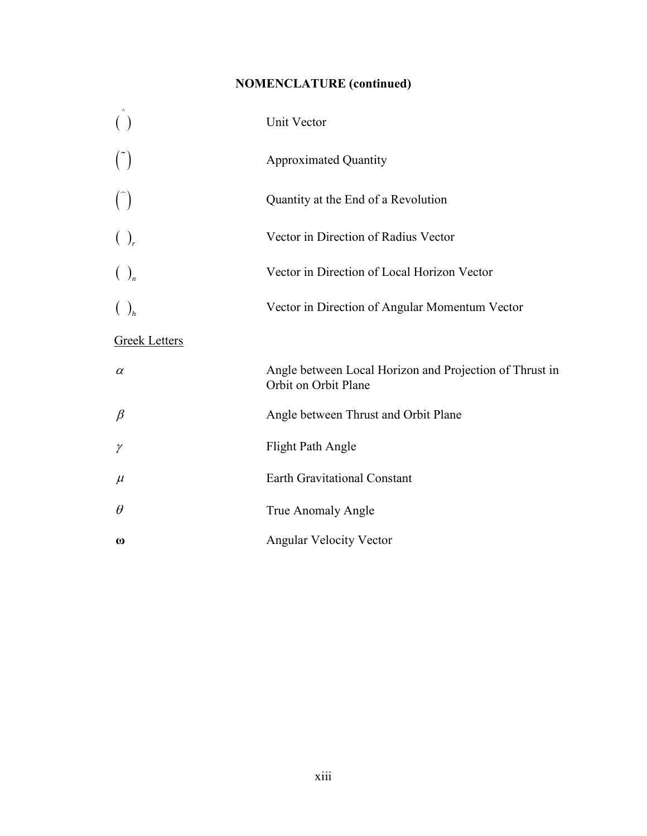# **NOMENCLATURE (continued)**

| $\left( \begin{array}{c} \end{array} \right)$ | Unit Vector                                                                     |
|-----------------------------------------------|---------------------------------------------------------------------------------|
| $\binom{5}{ }$                                | <b>Approximated Quantity</b>                                                    |
| $\binom{1}{k}$                                | Quantity at the End of a Revolution                                             |
| $\left(\begin{array}{c} \end{array}\right)_r$ | Vector in Direction of Radius Vector                                            |
| $\left(\begin{array}{c} \end{array}\right)_n$ | Vector in Direction of Local Horizon Vector                                     |
| $\left(\begin{array}{c} \end{array}\right)_h$ | Vector in Direction of Angular Momentum Vector                                  |
| <b>Greek Letters</b>                          |                                                                                 |
| $\alpha$                                      | Angle between Local Horizon and Projection of Thrust in<br>Orbit on Orbit Plane |
| $\beta$                                       | Angle between Thrust and Orbit Plane                                            |
| $\gamma$                                      | <b>Flight Path Angle</b>                                                        |
| $\mu$                                         | <b>Earth Gravitational Constant</b>                                             |
| $\theta$                                      | True Anomaly Angle                                                              |
| $\boldsymbol{\omega}$                         | <b>Angular Velocity Vector</b>                                                  |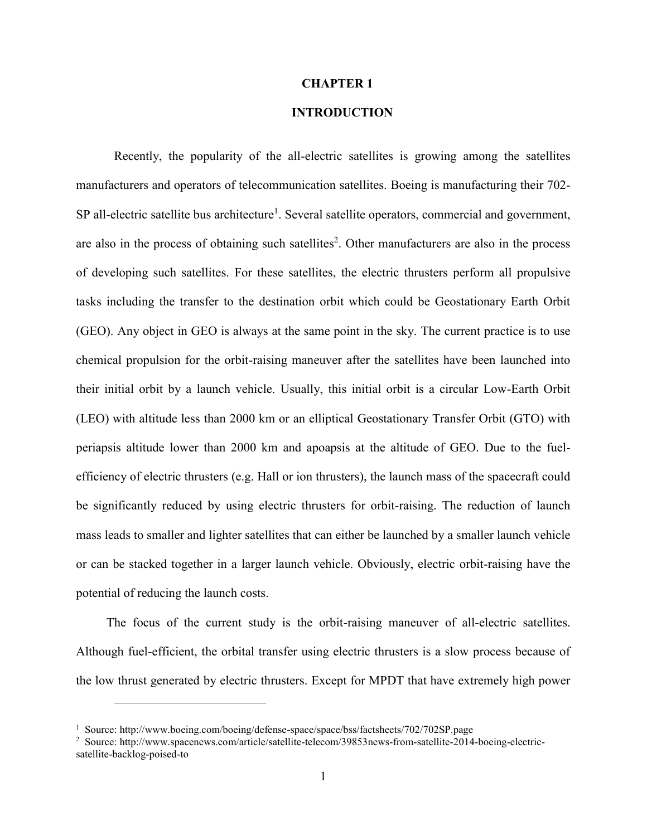#### **CHAPTER 1**

### **1. INTRODUCTION**

<span id="page-13-0"></span>Recently, the popularity of the all-electric satellites is growing among the satellites manufacturers and operators of telecommunication satellites. Boeing is manufacturing their 702- SP all-electric satellite bus architecture<sup>1</sup>. Several satellite operators, commercial and government, are also in the process of obtaining such satellites<sup>2</sup>. Other manufacturers are also in the process of developing such satellites. For these satellites, the electric thrusters perform all propulsive tasks including the transfer to the destination orbit which could be Geostationary Earth Orbit (GEO). Any object in GEO is always at the same point in the sky. The current practice is to use chemical propulsion for the orbit-raising maneuver after the satellites have been launched into their initial orbit by a launch vehicle. Usually, this initial orbit is a circular Low-Earth Orbit (LEO) with altitude less than 2000 km or an elliptical Geostationary Transfer Orbit (GTO) with periapsis altitude lower than 2000 km and apoapsis at the altitude of GEO. Due to the fuelefficiency of electric thrusters (e.g. Hall or ion thrusters), the launch mass of the spacecraft could be significantly reduced by using electric thrusters for orbit-raising. The reduction of launch mass leads to smaller and lighter satellites that can either be launched by a smaller launch vehicle or can be stacked together in a larger launch vehicle. Obviously, electric orbit-raising have the potential of reducing the launch costs.

The focus of the current study is the orbit-raising maneuver of all-electric satellites. Although fuel-efficient, the orbital transfer using electric thrusters is a slow process because of the low thrust generated by electric thrusters. Except for MPDT that have extremely high power

 $\overline{a}$ 

<sup>&</sup>lt;sup>1</sup> Source: http://www.boeing.com/boeing/defense-space/space/bss/factsheets/702/702SP.page

<sup>&</sup>lt;sup>2</sup> Source: http://www.spacenews.com/article/satellite-telecom/39853news-from-satellite-2014-boeing-electricsatellite-backlog-poised-to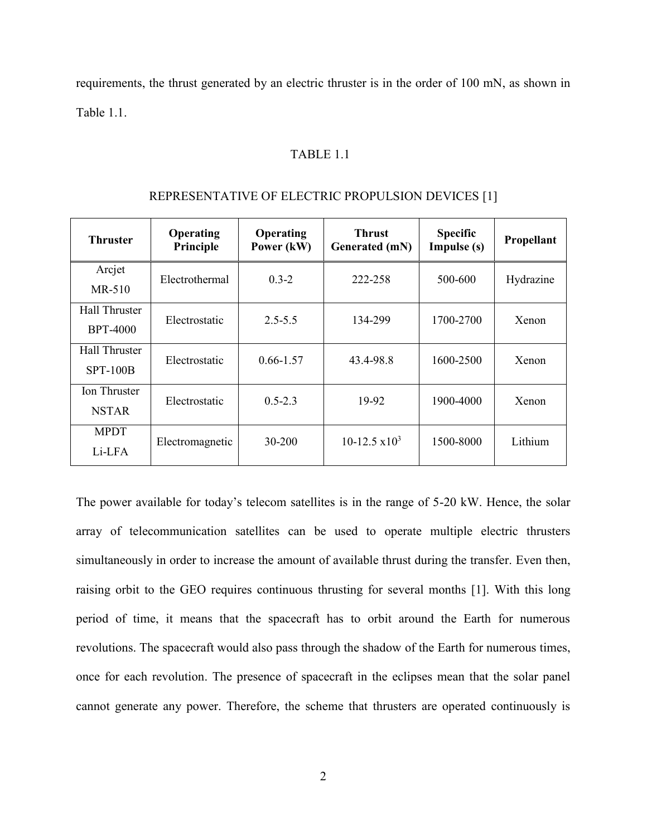<span id="page-14-0"></span>requirements, the thrust generated by an electric thruster is in the order of 100 mN, as shown in Table 1.1.

#### TABLE 1.1

| <b>Thruster</b>                         | Operating<br>Principle | Operating<br>Power (kW) | <b>Thrust</b><br>Generated (mN) | <b>Specific</b><br>Impulse (s) | Propellant |
|-----------------------------------------|------------------------|-------------------------|---------------------------------|--------------------------------|------------|
| Arcjet<br>MR-510                        | Electrothermal         | $0.3 - 2$               | 222-258                         | 500-600                        | Hydrazine  |
| <b>Hall Thruster</b><br><b>BPT-4000</b> | Electrostatic          | $2.5 - 5.5$             | 134-299                         | 1700-2700                      | Xenon      |
| <b>Hall Thruster</b><br>$SPT-100B$      | Electrostatic          | $0.66 - 1.57$           | 43.4-98.8                       | 1600-2500                      | Xenon      |
| Ion Thruster<br><b>NSTAR</b>            | Electrostatic          | $0.5 - 2.3$             | 19-92                           | 1900-4000                      | Xenon      |
| <b>MPDT</b><br>Li-LFA                   | Electromagnetic        | 30-200                  | $10-12.5 \times 10^3$           | 1500-8000                      | Lithium    |

#### REPRESENTATIVE OF ELECTRIC PROPULSION DEVICES [\[1\]](#page-64-0)

The power available for today's telecom satellites is in the range of 5-20 kW. Hence, the solar array of telecommunication satellites can be used to operate multiple electric thrusters simultaneously in order to increase the amount of available thrust during the transfer. Even then, raising orbit to the GEO requires continuous thrusting for several months [\[1\]](#page-64-0). With this long period of time, it means that the spacecraft has to orbit around the Earth for numerous revolutions. The spacecraft would also pass through the shadow of the Earth for numerous times, once for each revolution. The presence of spacecraft in the eclipses mean that the solar panel cannot generate any power. Therefore, the scheme that thrusters are operated continuously is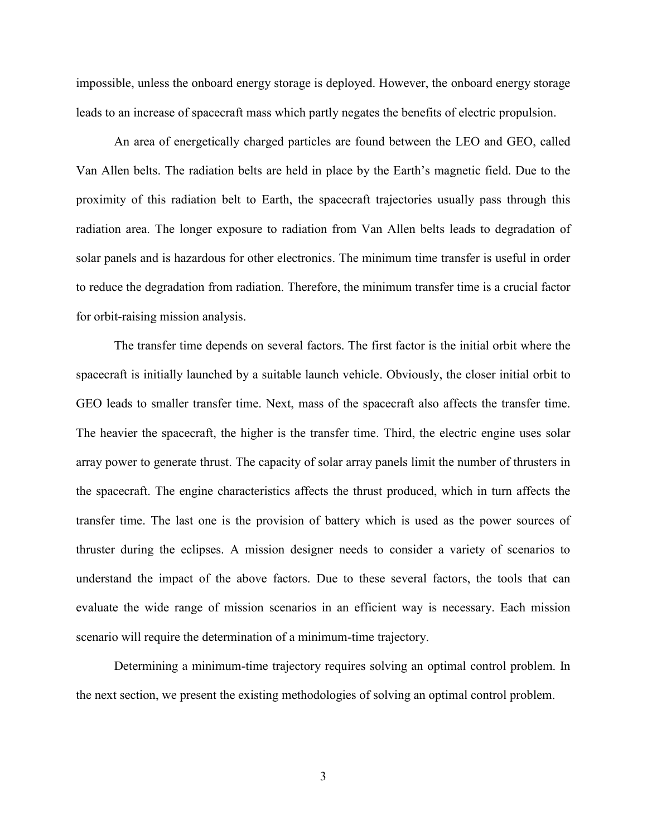impossible, unless the onboard energy storage is deployed. However, the onboard energy storage leads to an increase of spacecraft mass which partly negates the benefits of electric propulsion.

An area of energetically charged particles are found between the LEO and GEO, called Van Allen belts. The radiation belts are held in place by the Earth's magnetic field. Due to the proximity of this radiation belt to Earth, the spacecraft trajectories usually pass through this radiation area. The longer exposure to radiation from Van Allen belts leads to degradation of solar panels and is hazardous for other electronics. The minimum time transfer is useful in order to reduce the degradation from radiation. Therefore, the minimum transfer time is a crucial factor for orbit-raising mission analysis.

The transfer time depends on several factors. The first factor is the initial orbit where the spacecraft is initially launched by a suitable launch vehicle. Obviously, the closer initial orbit to GEO leads to smaller transfer time. Next, mass of the spacecraft also affects the transfer time. The heavier the spacecraft, the higher is the transfer time. Third, the electric engine uses solar array power to generate thrust. The capacity of solar array panels limit the number of thrusters in the spacecraft. The engine characteristics affects the thrust produced, which in turn affects the transfer time. The last one is the provision of battery which is used as the power sources of thruster during the eclipses. A mission designer needs to consider a variety of scenarios to understand the impact of the above factors. Due to these several factors, the tools that can evaluate the wide range of mission scenarios in an efficient way is necessary. Each mission scenario will require the determination of a minimum-time trajectory.

Determining a minimum-time trajectory requires solving an optimal control problem. In the next section, we present the existing methodologies of solving an optimal control problem.

3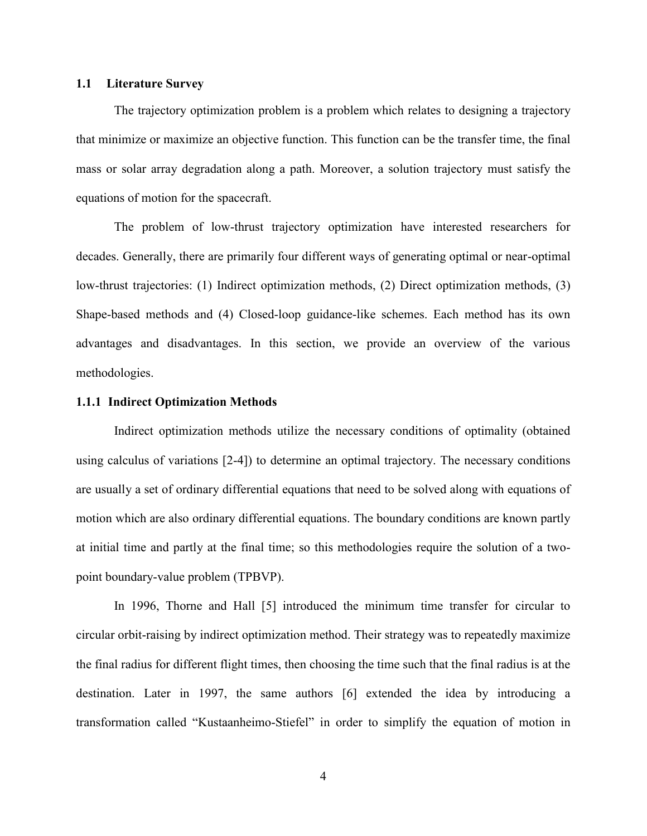### <span id="page-16-0"></span>**1.1 Literature Survey**

The trajectory optimization problem is a problem which relates to designing a trajectory that minimize or maximize an objective function. This function can be the transfer time, the final mass or solar array degradation along a path. Moreover, a solution trajectory must satisfy the equations of motion for the spacecraft.

The problem of low-thrust trajectory optimization have interested researchers for decades. Generally, there are primarily four different ways of generating optimal or near-optimal low-thrust trajectories: (1) Indirect optimization methods, (2) Direct optimization methods, (3) Shape-based methods and (4) Closed-loop guidance-like schemes. Each method has its own advantages and disadvantages. In this section, we provide an overview of the various methodologies.

#### <span id="page-16-1"></span>**1.1.1 Indirect Optimization Methods**

Indirect optimization methods utilize the necessary conditions of optimality (obtained using calculus of variations [\[2-4\]](#page-64-1)) to determine an optimal trajectory. The necessary conditions are usually a set of ordinary differential equations that need to be solved along with equations of motion which are also ordinary differential equations. The boundary conditions are known partly at initial time and partly at the final time; so this methodologies require the solution of a twopoint boundary-value problem (TPBVP).

In 1996, Thorne and Hall [\[5\]](#page-64-2) introduced the minimum time transfer for circular to circular orbit-raising by indirect optimization method. Their strategy was to repeatedly maximize the final radius for different flight times, then choosing the time such that the final radius is at the destination. Later in 1997, the same authors [\[6\]](#page-64-3) extended the idea by introducing a transformation called "Kustaanheimo-Stiefel" in order to simplify the equation of motion in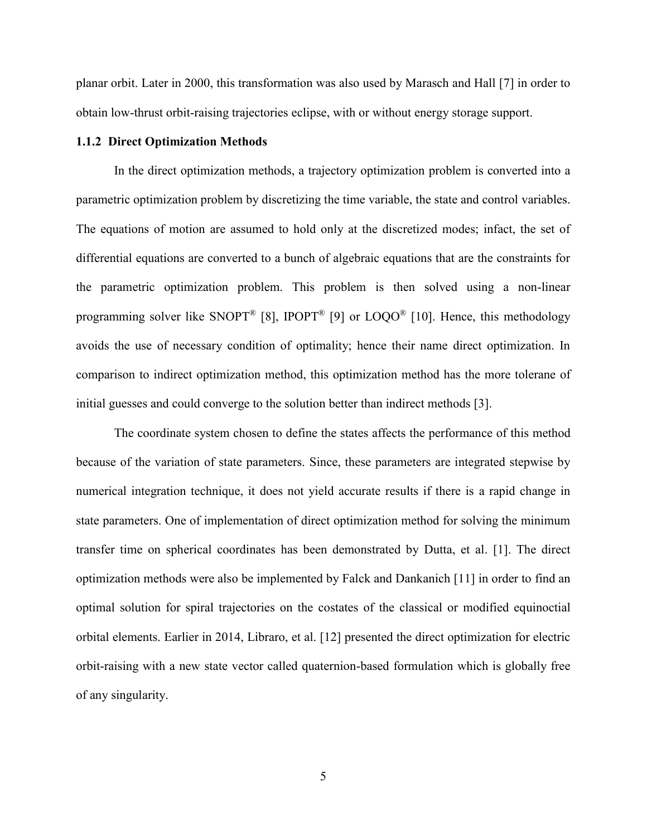planar orbit. Later in 2000, this transformation was also used by Marasch and Hall [\[7\]](#page-64-4) in order to obtain low-thrust orbit-raising trajectories eclipse, with or without energy storage support.

### <span id="page-17-0"></span>**1.1.2 Direct Optimization Methods**

In the direct optimization methods, a trajectory optimization problem is converted into a parametric optimization problem by discretizing the time variable, the state and control variables. The equations of motion are assumed to hold only at the discretized modes; infact, the set of differential equations are converted to a bunch of algebraic equations that are the constraints for the parametric optimization problem. This problem is then solved using a non-linear programming solver like SNOPT<sup>®</sup> [\[8\]](#page-64-5), IPOPT<sup>®</sup> [\[9\]](#page-64-6) or  $LOOO<sup>®</sup>$  [\[10\]](#page-64-7). Hence, this methodology avoids the use of necessary condition of optimality; hence their name direct optimization. In comparison to indirect optimization method, this optimization method has the more tolerane of initial guesses and could converge to the solution better than indirect methods [\[3\]](#page-64-8).

The coordinate system chosen to define the states affects the performance of this method because of the variation of state parameters. Since, these parameters are integrated stepwise by numerical integration technique, it does not yield accurate results if there is a rapid change in state parameters. One of implementation of direct optimization method for solving the minimum transfer time on spherical coordinates has been demonstrated by Dutta, et al. [\[1\]](#page-64-0). The direct optimization methods were also be implemented by Falck and Dankanich [\[11\]](#page-64-9) in order to find an optimal solution for spiral trajectories on the costates of the classical or modified equinoctial orbital elements. Earlier in 2014, Libraro, et al. [\[12\]](#page-65-0) presented the direct optimization for electric orbit-raising with a new state vector called quaternion-based formulation which is globally free of any singularity.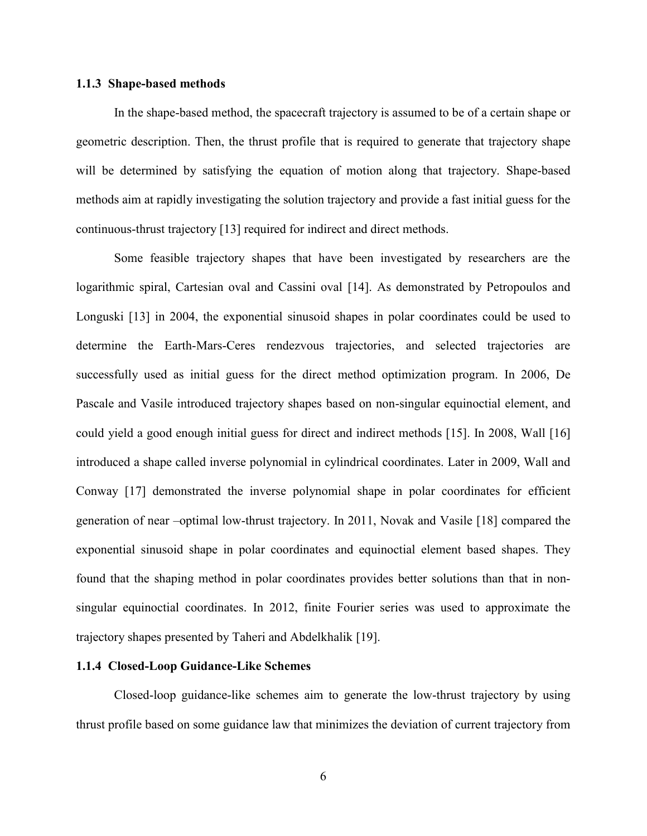### <span id="page-18-0"></span>**1.1.3 Shape-based methods**

In the shape-based method, the spacecraft trajectory is assumed to be of a certain shape or geometric description. Then, the thrust profile that is required to generate that trajectory shape will be determined by satisfying the equation of motion along that trajectory. Shape-based methods aim at rapidly investigating the solution trajectory and provide a fast initial guess for the continuous-thrust trajectory [\[13\]](#page-65-1) required for indirect and direct methods.

Some feasible trajectory shapes that have been investigated by researchers are the logarithmic spiral, Cartesian oval and Cassini oval [\[14\]](#page-65-2). As demonstrated by Petropoulos and Longuski [\[13\]](#page-65-1) in 2004, the exponential sinusoid shapes in polar coordinates could be used to determine the Earth-Mars-Ceres rendezvous trajectories, and selected trajectories are successfully used as initial guess for the direct method optimization program. In 2006, De Pascale and Vasile introduced trajectory shapes based on non-singular equinoctial element, and could yield a good enough initial guess for direct and indirect methods [\[15\]](#page-65-3). In 2008, Wall [\[16\]](#page-65-4) introduced a shape called inverse polynomial in cylindrical coordinates. Later in 2009, Wall and Conway [\[17\]](#page-65-5) demonstrated the inverse polynomial shape in polar coordinates for efficient generation of near –optimal low-thrust trajectory. In 2011, Novak and Vasile [\[18\]](#page-65-6) compared the exponential sinusoid shape in polar coordinates and equinoctial element based shapes. They found that the shaping method in polar coordinates provides better solutions than that in nonsingular equinoctial coordinates. In 2012, finite Fourier series was used to approximate the trajectory shapes presented by Taheri and Abdelkhalik [\[19\]](#page-65-7).

### <span id="page-18-1"></span>**1.1.4 Closed-Loop Guidance-Like Schemes**

Closed-loop guidance-like schemes aim to generate the low-thrust trajectory by using thrust profile based on some guidance law that minimizes the deviation of current trajectory from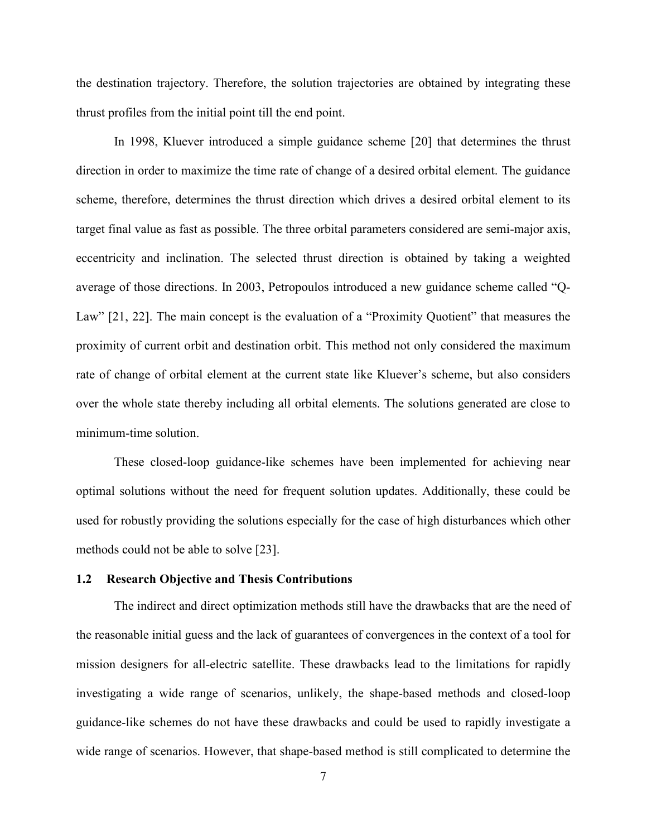the destination trajectory. Therefore, the solution trajectories are obtained by integrating these thrust profiles from the initial point till the end point.

In 1998, Kluever introduced a simple guidance scheme [\[20\]](#page-65-8) that determines the thrust direction in order to maximize the time rate of change of a desired orbital element. The guidance scheme, therefore, determines the thrust direction which drives a desired orbital element to its target final value as fast as possible. The three orbital parameters considered are semi-major axis, eccentricity and inclination. The selected thrust direction is obtained by taking a weighted average of those directions. In 2003, Petropoulos introduced a new guidance scheme called "Q-Law" [\[21,](#page-65-9) [22\]](#page-65-10). The main concept is the evaluation of a "Proximity Quotient" that measures the proximity of current orbit and destination orbit. This method not only considered the maximum rate of change of orbital element at the current state like Kluever's scheme, but also considers over the whole state thereby including all orbital elements. The solutions generated are close to minimum-time solution.

These closed-loop guidance-like schemes have been implemented for achieving near optimal solutions without the need for frequent solution updates. Additionally, these could be used for robustly providing the solutions especially for the case of high disturbances which other methods could not be able to solve [\[23\]](#page-66-0).

### <span id="page-19-0"></span>**1.2 Research Objective and Thesis Contributions**

The indirect and direct optimization methods still have the drawbacks that are the need of the reasonable initial guess and the lack of guarantees of convergences in the context of a tool for mission designers for all-electric satellite. These drawbacks lead to the limitations for rapidly investigating a wide range of scenarios, unlikely, the shape-based methods and closed-loop guidance-like schemes do not have these drawbacks and could be used to rapidly investigate a wide range of scenarios. However, that shape-based method is still complicated to determine the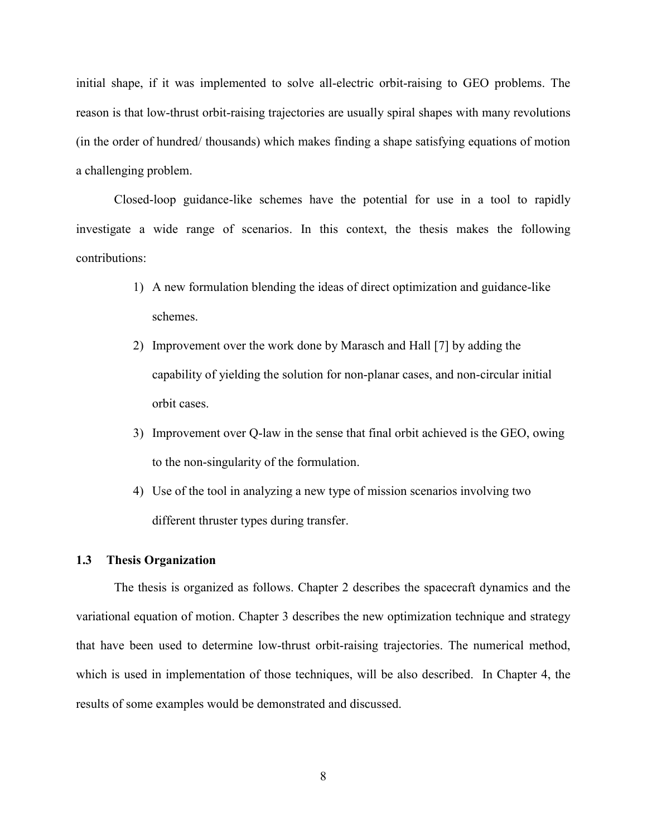initial shape, if it was implemented to solve all-electric orbit-raising to GEO problems. The reason is that low-thrust orbit-raising trajectories are usually spiral shapes with many revolutions (in the order of hundred/ thousands) which makes finding a shape satisfying equations of motion a challenging problem.

Closed-loop guidance-like schemes have the potential for use in a tool to rapidly investigate a wide range of scenarios. In this context, the thesis makes the following contributions:

- 1) A new formulation blending the ideas of direct optimization and guidance-like schemes.
- 2) Improvement over the work done by Marasch and Hall [\[7\]](#page-64-4) by adding the capability of yielding the solution for non-planar cases, and non-circular initial orbit cases.
- 3) Improvement over Q-law in the sense that final orbit achieved is the GEO, owing to the non-singularity of the formulation.
- 4) Use of the tool in analyzing a new type of mission scenarios involving two different thruster types during transfer.

### <span id="page-20-0"></span>**1.3 Thesis Organization**

The thesis is organized as follows. Chapter 2 describes the spacecraft dynamics and the variational equation of motion. Chapter 3 describes the new optimization technique and strategy that have been used to determine low-thrust orbit-raising trajectories. The numerical method, which is used in implementation of those techniques, will be also described. In Chapter 4, the results of some examples would be demonstrated and discussed.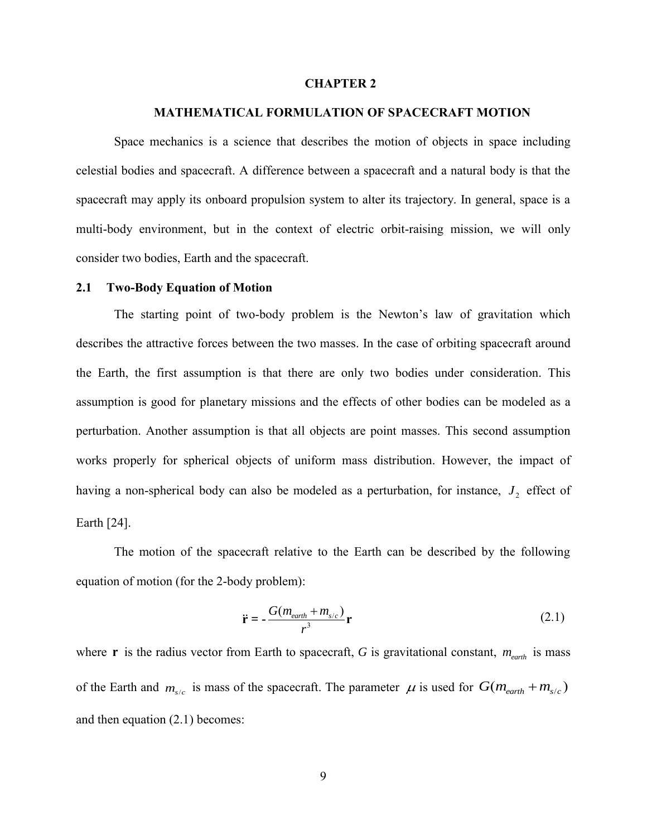#### **CHAPTER 2**

### **2. MATHEMATICAL FORMULATION OF SPACECRAFT MOTION**

<span id="page-21-0"></span>Space mechanics is a science that describes the motion of objects in space including celestial bodies and spacecraft. A difference between a spacecraft and a natural body is that the spacecraft may apply its onboard propulsion system to alter its trajectory. In general, space is a multi-body environment, but in the context of electric orbit-raising mission, we will only consider two bodies, Earth and the spacecraft.

#### <span id="page-21-1"></span>**2.1 Two-Body Equation of Motion**

The starting point of two-body problem is the Newton's law of gravitation which describes the attractive forces between the two masses. In the case of orbiting spacecraft around the Earth, the first assumption is that there are only two bodies under consideration. This assumption is good for planetary missions and the effects of other bodies can be modeled as a perturbation. Another assumption is that all objects are point masses. This second assumption works properly for spherical objects of uniform mass distribution. However, the impact of having a non-spherical body can also be modeled as a perturbation, for instance,  $J_2$  effect of Earth [\[24\]](#page-66-1).

The motion of the spacecraft relative to the Earth can be described by the following equation of motion (for the 2-body problem):

<span id="page-21-2"></span>
$$
\ddot{\mathbf{r}} = -\frac{G(m_{earth} + m_{s/c})}{r^3} \mathbf{r}
$$
 (2.1)

where **r** is the radius vector from Earth to spacecraft, G is gravitational constant,  $m_{earth}$  is mass of the Earth and  $m_{s/c}$  is mass of the spacecraft. The parameter  $\mu$  is used for  $G(m_{earth} + m_{s/c})$ and then equation [\(2.1\)](#page-21-2) becomes: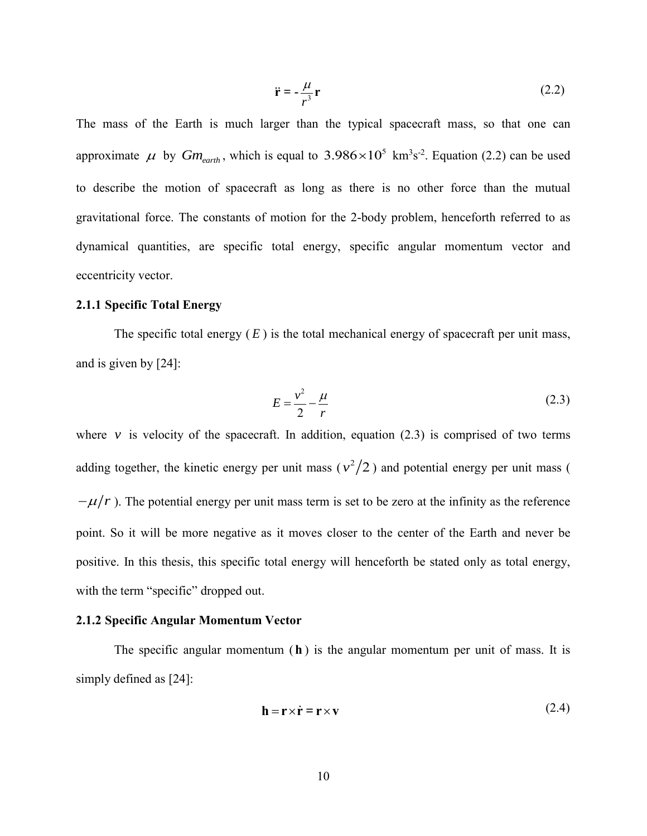<span id="page-22-2"></span>
$$
\ddot{\mathbf{r}} = -\frac{\mu}{r^3}\mathbf{r}
$$
 (2.2)

The mass of the Earth is much larger than the typical spacecraft mass, so that one can approximate  $\mu$  by  $Gm_{earth}$ , which is equal to 3.986 $\times 10^5$  km<sup>3</sup>s<sup>-2</sup>. Equation [\(2.2\)](#page-22-2) can be used to describe the motion of spacecraft as long as there is no other force than the mutual gravitational force. The constants of motion for the 2-body problem, henceforth referred to as dynamical quantities, are specific total energy, specific angular momentum vector and eccentricity vector.

### <span id="page-22-0"></span>**2.1.1 Specific Total Energy**

The specific total energy  $(E)$  is the total mechanical energy of spacecraft per unit mass, and is given by [\[24\]](#page-66-1):

<span id="page-22-3"></span>
$$
E = \frac{v^2}{2} - \frac{\mu}{r} \tag{2.3}
$$

where  $\nu$  is velocity of the spacecraft. In addition, equation [\(2.3\)](#page-22-3) is comprised of two terms adding together, the kinetic energy per unit mass  $(v^2/2)$  and potential energy per unit mass (  $-\mu/r$ ). The potential energy per unit mass term is set to be zero at the infinity as the reference point. So it will be more negative as it moves closer to the center of the Earth and never be positive. In this thesis, this specific total energy will henceforth be stated only as total energy, with the term "specific" dropped out.

### <span id="page-22-1"></span>**2.1.2 Specific Angular Momentum Vector**

The specific angular momentum  $(h)$  is the angular momentum per unit of mass. It is simply defined as [\[24\]](#page-66-1):

<span id="page-22-4"></span>
$$
\mathbf{h} = \mathbf{r} \times \dot{\mathbf{r}} = \mathbf{r} \times \mathbf{v} \tag{2.4}
$$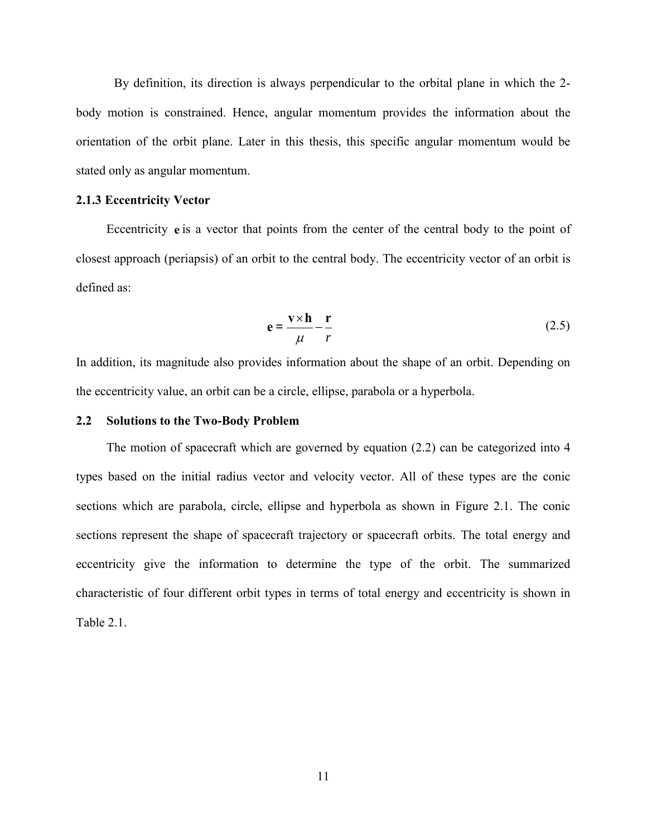By definition, its direction is always perpendicular to the orbital plane in which the 2 body motion is constrained. Hence, angular momentum provides the information about the orientation of the orbit plane. Later in this thesis, this specific angular momentum would be stated only as angular momentum.

### <span id="page-23-0"></span>**2.1.3 Eccentricity Vector**

Eccentricity e is a vector that points from the center of the central body to the point of closest approach (periapsis) of an orbit to the central body. The eccentricity vector of an orbit is defined as:

<span id="page-23-2"></span>
$$
e = \frac{v \times h}{\mu} - \frac{r}{r}
$$
 (2.5)

In addition, its magnitude also provides information about the shape of an orbit. Depending on the eccentricity value, an orbit can be a circle, ellipse, parabola or a hyperbola.

### <span id="page-23-1"></span>**2.2 Solutions to the Two-Body Problem**

The motion of spacecraft which are governed by equation [\(2.2\)](#page-22-2) can be categorized into 4 types based on the initial radius vector and velocity vector. All of these types are the conic sections which are parabola, circle, ellipse and hyperbola as shown in [Figure 2.1.](#page-24-1) The conic sections represent the shape of spacecraft trajectory or spacecraft orbits. The total energy and eccentricity give the information to determine the type of the orbit. The summarized characteristic of four different orbit types in terms of total energy and eccentricity is shown in Table 2.1.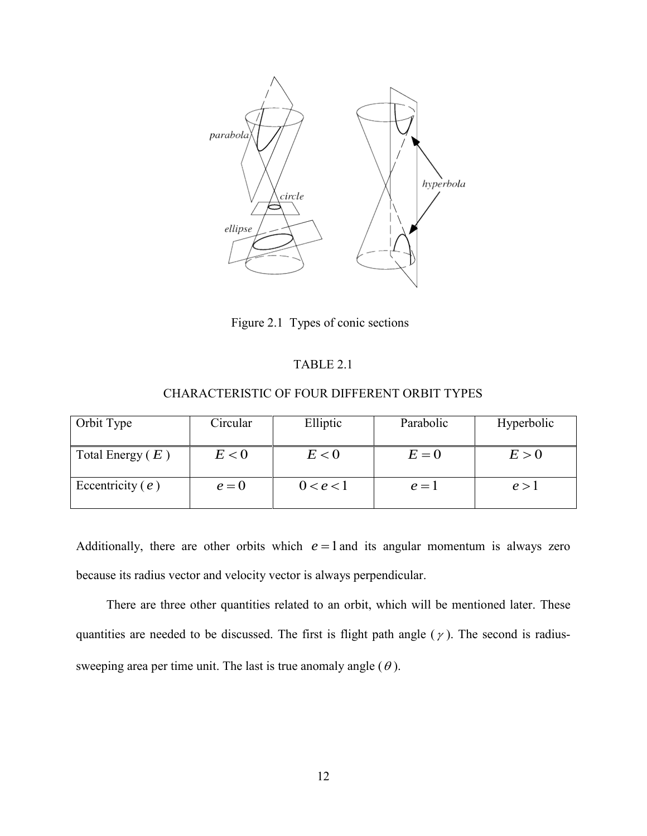

Figure 2.1 Types of conic sections

### TABLE 2.1

### CHARACTERISTIC OF FOUR DIFFERENT ORBIT TYPES

<span id="page-24-1"></span><span id="page-24-0"></span>

| Orbit Type         | Circular | Elliptic  | Parabolic | Hyperbolic |
|--------------------|----------|-----------|-----------|------------|
| Total Energy $(E)$ | E < 0    | E < 0     | $E=0$     | E > 0      |
| Eccentricity $(e)$ | $e=0$    | 0 < e < 1 | $e=1$     | e > 1      |

Additionally, there are other orbits which  $e = 1$  and its angular momentum is always zero because its radius vector and velocity vector is always perpendicular.

There are three other quantities related to an orbit, which will be mentioned later. These quantities are needed to be discussed. The first is flight path angle  $(\gamma)$ . The second is radiussweeping area per time unit. The last is true anomaly angle  $(\theta)$ .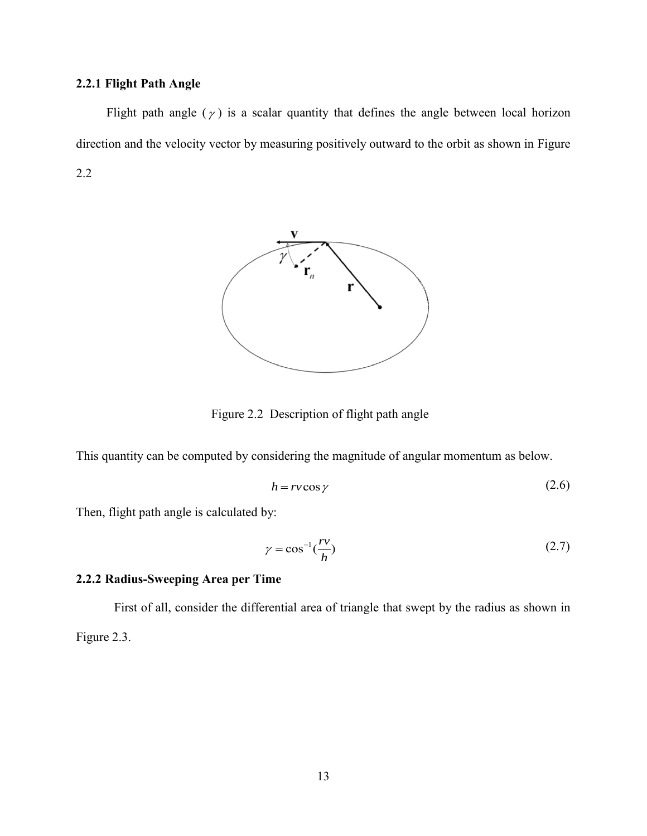### <span id="page-25-0"></span>**2.2.1 Flight Path Angle**

Flight path angle  $(\gamma)$  is a scalar quantity that defines the angle between local horizon direction and the velocity vector by measuring positively outward to the orbit as shown in [Figure](#page-25-2)  [2.2](#page-25-2)



Figure 2.2 Description of flight path angle

<span id="page-25-2"></span>This quantity can be computed by considering the magnitude of angular momentum as below.

<span id="page-25-3"></span>
$$
h = rv \cos \gamma \tag{2.6}
$$

Then, flight path angle is calculated by:

$$
\gamma = \cos^{-1}\left(\frac{rv}{h}\right) \tag{2.7}
$$

### <span id="page-25-1"></span>**2.2.2 Radius-Sweeping Area per Time**

First of all, consider the differential area of triangle that swept by the radius as shown in [Figure 2.3.](#page-26-0)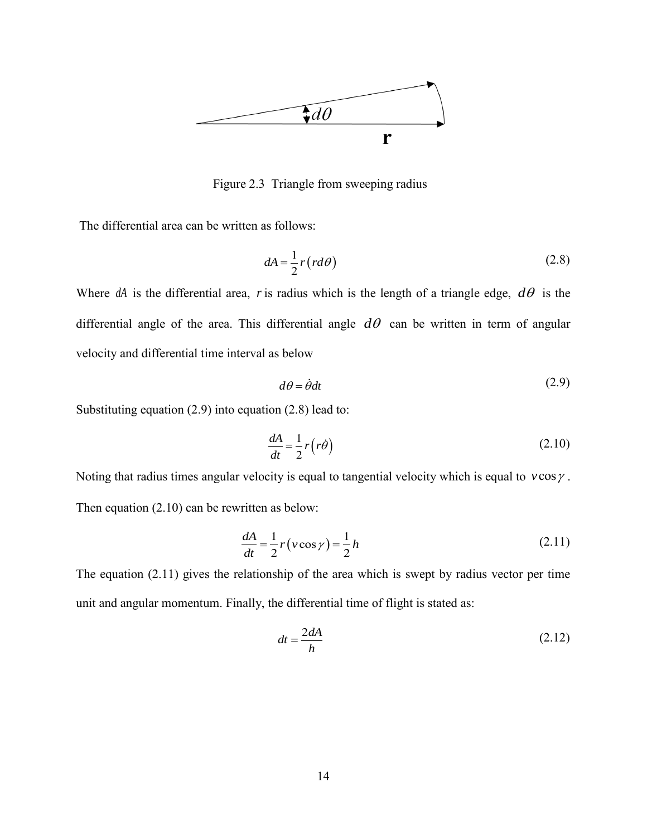

Figure 2.3 Triangle from sweeping radius

<span id="page-26-0"></span>The differential area can be written as follows:

<span id="page-26-2"></span>
$$
dA = \frac{1}{2}r\left(rd\theta\right) \tag{2.8}
$$

Where  $dA$  is the differential area, r is radius which is the length of a triangle edge,  $d\theta$  is the differential angle of the area. This differential angle  $d\theta$  can be written in term of angular velocity and differential time interval as below

<span id="page-26-3"></span><span id="page-26-1"></span>
$$
d\theta = \dot{\theta}dt\tag{2.9}
$$

Substituting equation [\(2.9\)](#page-26-1) into equation [\(2.8\)](#page-26-2) lead to:

$$
\frac{dA}{dt} = \frac{1}{2}r(r\dot{\theta})\tag{2.10}
$$

Noting that radius times angular velocity is equal to tangential velocity which is equal to  $\nu \cos \gamma$ . Then equation [\(2.10\)](#page-26-3) can be rewritten as below:

$$
\frac{dA}{dt} = \frac{1}{2}r(v\cos\gamma) = \frac{1}{2}h\tag{2.11}
$$

The equation [\(2.11\)](#page-26-4) gives the relationship of the area which is swept by radius vector per time unit and angular momentum. Finally, the differential time of flight is stated as:

<span id="page-26-5"></span><span id="page-26-4"></span>
$$
dt = \frac{2dA}{h} \tag{2.12}
$$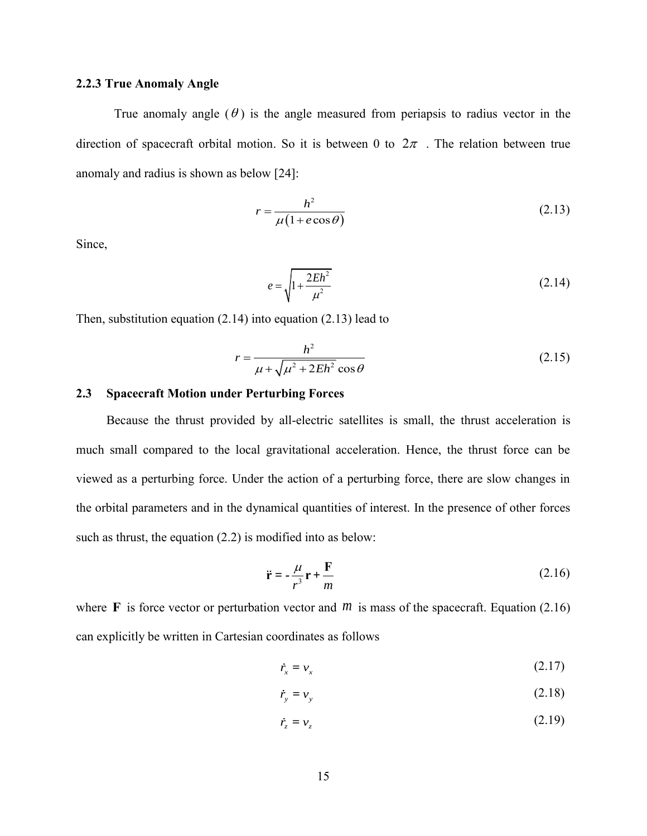### <span id="page-27-0"></span>**2.2.3 True Anomaly Angle**

True anomaly angle  $(\theta)$  is the angle measured from periapsis to radius vector in the direction of spacecraft orbital motion. So it is between 0 to  $2\pi$ . The relation between true anomaly and radius is shown as below [\[24\]](#page-66-1):

$$
r = \frac{h^2}{\mu (1 + e \cos \theta)}\tag{2.13}
$$

Since,

<span id="page-27-5"></span><span id="page-27-3"></span><span id="page-27-2"></span>
$$
e = \sqrt{1 + \frac{2Eh^2}{\mu^2}}
$$
 (2.14)

Then, substitution equation [\(2.14\)](#page-27-2) into equation [\(2.13\)](#page-27-3) lead to

$$
r = \frac{h^2}{\mu + \sqrt{\mu^2 + 2Eh^2} \cos \theta}
$$
 (2.15)

### <span id="page-27-1"></span>**2.3 Spacecraft Motion under Perturbing Forces**

Because the thrust provided by all-electric satellites is small, the thrust acceleration is much small compared to the local gravitational acceleration. Hence, the thrust force can be viewed as a perturbing force. Under the action of a perturbing force, there are slow changes in the orbital parameters and in the dynamical quantities of interest. In the presence of other forces such as thrust, the equation  $(2.2)$  is modified into as below:

<span id="page-27-4"></span>
$$
\ddot{\mathbf{r}} = -\frac{\mu}{r^3}\mathbf{r} + \frac{\mathbf{F}}{m} \tag{2.16}
$$

where  $\bf{F}$  is force vector or perturbation vector and  $\bf{m}$  is mass of the spacecraft. Equation [\(2.16\)](#page-27-4) can explicitly be written in Cartesian coordinates as follows

$$
\dot{r}_x = v_x \tag{2.17}
$$

$$
\dot{r}_y = v_y \tag{2.18}
$$

$$
\dot{r}_z = v_z \tag{2.19}
$$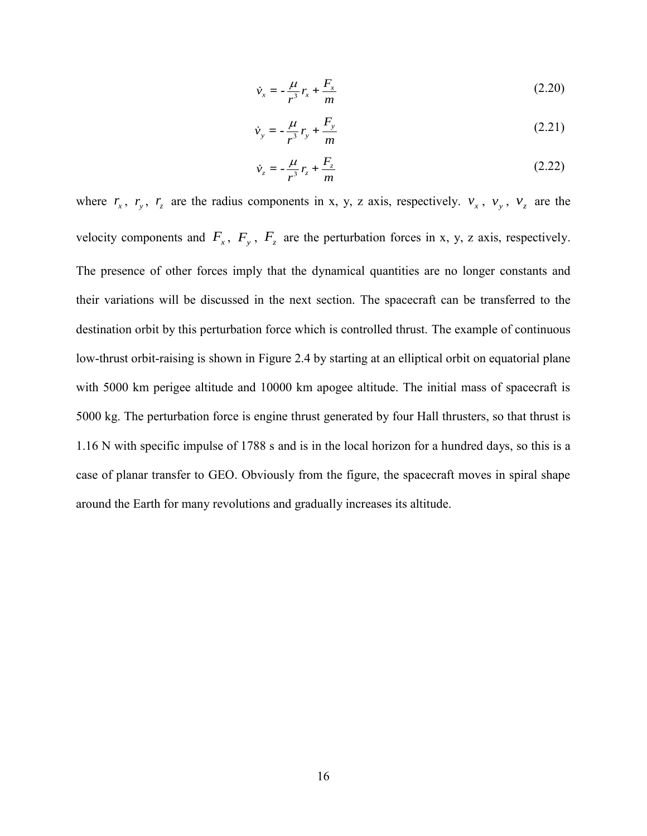$$
\dot{v}_x = -\frac{\mu}{r^3} r_x + \frac{F_x}{m}
$$
\n(2.20)

$$
\dot{v}_y = -\frac{\mu}{r^3}r_y + \frac{F_y}{m}
$$
\n(2.21)

$$
\dot{v}_z = -\frac{\mu}{r^3}r_z + \frac{F_z}{m}
$$
\n(2.22)

where  $r_x$ ,  $r_y$ ,  $r_z$  are the radius components in x, y, z axis, respectively.  $v_x$ ,  $v_y$ ,  $v_z$  are the velocity components and  $F_x$ ,  $F_y$ ,  $F_z$  are the perturbation forces in x, y, z axis, respectively. The presence of other forces imply that the dynamical quantities are no longer constants and their variations will be discussed in the next section. The spacecraft can be transferred to the destination orbit by this perturbation force which is controlled thrust. The example of continuous low-thrust orbit-raising is shown in [Figure 2.4](#page-29-1) by starting at an elliptical orbit on equatorial plane with 5000 km perigee altitude and 10000 km apogee altitude. The initial mass of spacecraft is 5000 kg. The perturbation force is engine thrust generated by four Hall thrusters, so that thrust is 1.16 N with specific impulse of 1788 s and is in the local horizon for a hundred days, so this is a case of planar transfer to GEO. Obviously from the figure, the spacecraft moves in spiral shape around the Earth for many revolutions and gradually increases its altitude.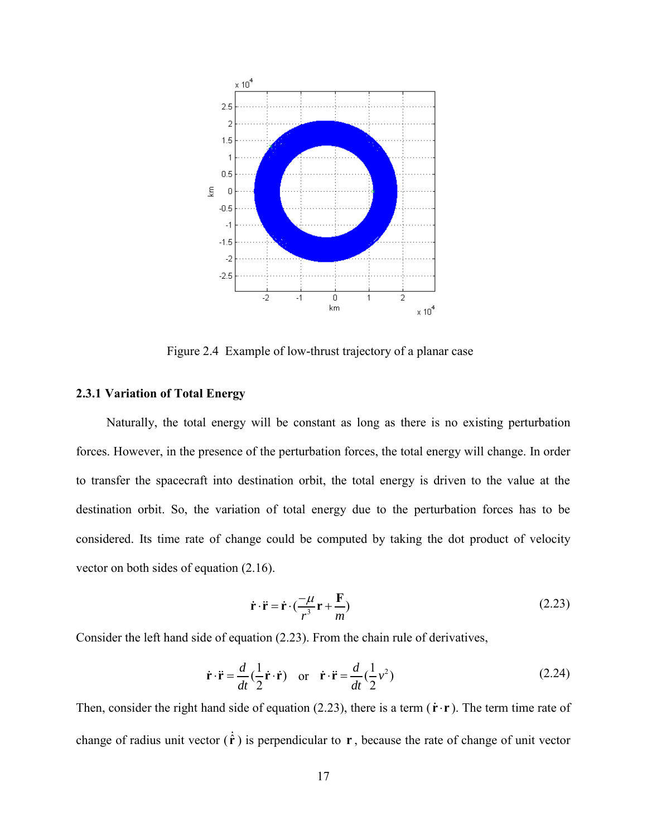

Figure 2.4 Example of low-thrust trajectory of a planar case

### <span id="page-29-1"></span><span id="page-29-0"></span>**2.3.1 Variation of Total Energy**

Naturally, the total energy will be constant as long as there is no existing perturbation forces. However, in the presence of the perturbation forces, the total energy will change. In order to transfer the spacecraft into destination orbit, the total energy is driven to the value at the destination orbit. So, the variation of total energy due to the perturbation forces has to be considered. Its time rate of change could be computed by taking the dot product of velocity vector on both sides of equation [\(2.16\).](#page-27-4)

<span id="page-29-3"></span><span id="page-29-2"></span>
$$
\dot{\mathbf{r}} \cdot \ddot{\mathbf{r}} = \dot{\mathbf{r}} \cdot \left(\frac{-\mu}{r^3} \mathbf{r} + \frac{\mathbf{F}}{m}\right)
$$
 (2.23)

Consider the left hand side of equation [\(2.23\).](#page-29-2) From the chain rule of derivatives,

$$
\dot{\mathbf{r}} \cdot \ddot{\mathbf{r}} = \frac{d}{dt} \left( \frac{1}{2} \dot{\mathbf{r}} \cdot \dot{\mathbf{r}} \right) \quad \text{or} \quad \dot{\mathbf{r}} \cdot \ddot{\mathbf{r}} = \frac{d}{dt} \left( \frac{1}{2} v^2 \right) \tag{2.24}
$$

Then, consider the right hand side of equation  $(2.23)$ , there is a term  $(\dot{\mathbf{r}} \cdot \mathbf{r})$ . The term time rate of change of radius unit vector  $(\hat{\mathbf{r}})$  is perpendicular to  $\mathbf{r}$ , because the rate of change of unit vector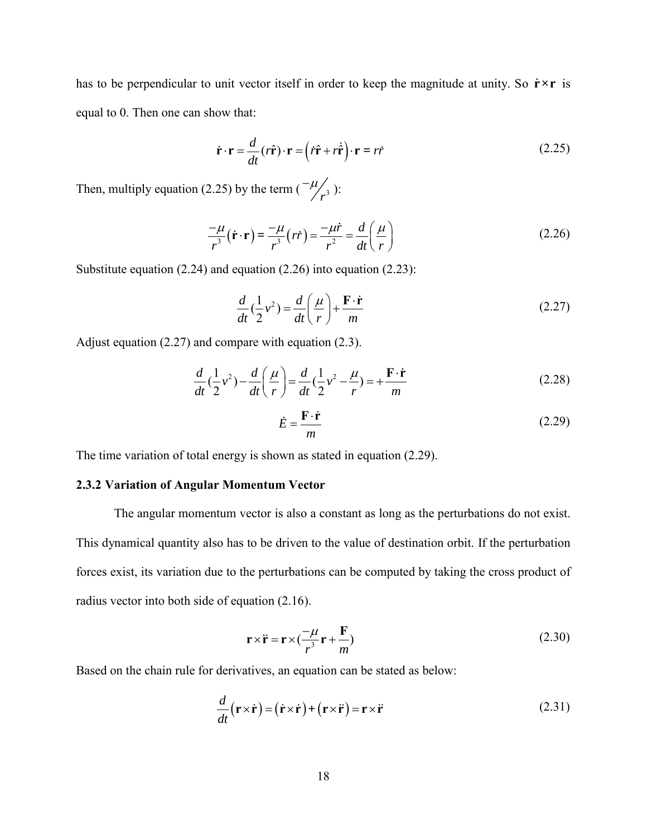has to be perpendicular to unit vector itself in order to keep the magnitude at unity. So  $\dot{r} \times r$  is equal to 0. Then one can show that:

<span id="page-30-1"></span>
$$
\dot{\mathbf{r}} \cdot \mathbf{r} = \frac{d}{dt} (r\hat{\mathbf{r}}) \cdot \mathbf{r} = (\dot{r}\hat{\mathbf{r}} + r\dot{\hat{\mathbf{r}}}) \cdot \mathbf{r} = r\dot{r}
$$
 (2.25)

Then, multiply equation [\(2.25\)](#page-30-1) by the term  $\left(\frac{-\mu}{r^3}\right)$  $-\mu/_{3}$ ):

$$
\frac{-\mu}{r^3}(\dot{\mathbf{r}} \cdot \mathbf{r}) = \frac{-\mu}{r^3}(r\dot{r}) = \frac{-\mu \dot{r}}{r^2} = \frac{d}{dt} \left(\frac{\mu}{r}\right)
$$
(2.26)

Substitute equation [\(2.24\)](#page-29-3) and equation [\(2.26\)](#page-30-2) into equation [\(2.23\):](#page-29-2)

<span id="page-30-2"></span>
$$
\frac{d}{dt}(\frac{1}{2}v^2) = \frac{d}{dt}\left(\frac{\mu}{r}\right) + \frac{\mathbf{F} \cdot \dot{\mathbf{r}}}{m}
$$
\n(2.27)

Adjust equation [\(2.27\)](#page-30-3) and compare with equation [\(2.3\).](#page-22-3)

$$
\frac{d}{dt}(\frac{1}{2}v^2) - \frac{d}{dt}(\frac{\mu}{r}) = \frac{d}{dt}(\frac{1}{2}v^2 - \frac{\mu}{r}) = +\frac{F \cdot \dot{r}}{m}
$$
\n(2.28)

<span id="page-30-4"></span><span id="page-30-3"></span>
$$
\dot{E} = \frac{\mathbf{F} \cdot \dot{\mathbf{r}}}{m} \tag{2.29}
$$

The time variation of total energy is shown as stated in equation [\(2.29\).](#page-30-4)

### <span id="page-30-0"></span>**2.3.2 Variation of Angular Momentum Vector**

The angular momentum vector is also a constant as long as the perturbations do not exist. This dynamical quantity also has to be driven to the value of destination orbit. If the perturbation forces exist, its variation due to the perturbations can be computed by taking the cross product of radius vector into both side of equation [\(2.16\).](#page-27-4)

<span id="page-30-6"></span><span id="page-30-5"></span>
$$
\mathbf{r} \times \ddot{\mathbf{r}} = \mathbf{r} \times \left(\frac{-\mu}{r^3} \mathbf{r} + \frac{\mathbf{F}}{m}\right)
$$
 (2.30)

Based on the chain rule for derivatives, an equation can be stated as below:

$$
\frac{d}{dt}(\mathbf{r} \times \dot{\mathbf{r}}) = (\dot{\mathbf{r}} \times \dot{\mathbf{r}}) + (\mathbf{r} \times \ddot{\mathbf{r}}) = \mathbf{r} \times \ddot{\mathbf{r}} \tag{2.31}
$$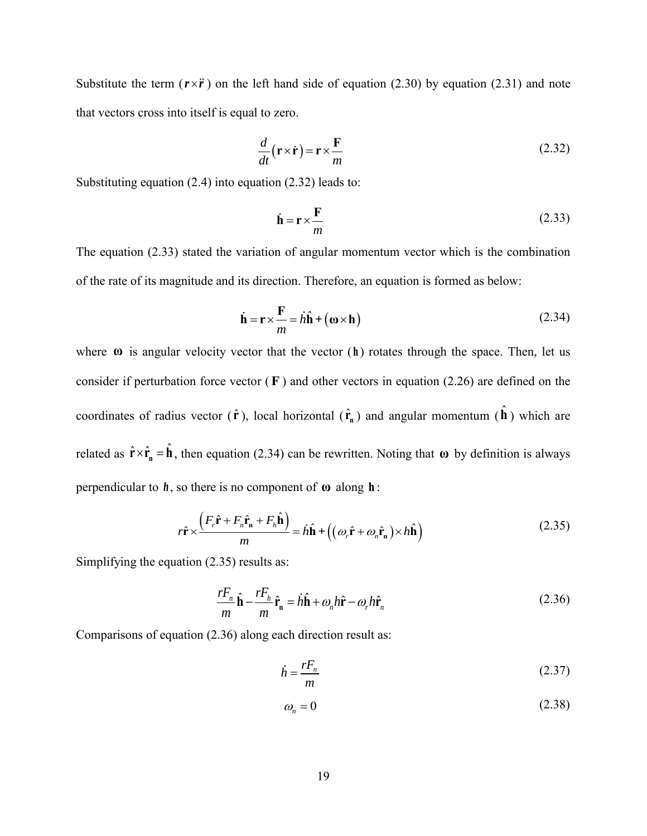Substitute the term  $(r \times \ddot{r})$  on the left hand side of equation [\(2.30\)](#page-30-5) by equation [\(2.31\)](#page-30-6) and note that vectors cross into itself is equal to zero.

$$
\frac{d}{dt}(\mathbf{r} \times \dot{\mathbf{r}}) = \mathbf{r} \times \frac{\mathbf{F}}{m} \tag{2.32}
$$

Substituting equation [\(2.4\)](#page-22-4) into equation [\(2.32\)](#page-31-0) leads to:

<span id="page-31-2"></span><span id="page-31-1"></span><span id="page-31-0"></span>
$$
\dot{\mathbf{h}} = \mathbf{r} \times \frac{\mathbf{F}}{m} \tag{2.33}
$$

The equation [\(2.33\)](#page-31-1) stated the variation of angular momentum vector which is the combination of the rate of its magnitude and its direction. Therefore, an equation is formed as below:

$$
\dot{\mathbf{h}} = \mathbf{r} \times \frac{\mathbf{F}}{m} = h\hat{\mathbf{h}} + (\mathbf{\omega} \times \mathbf{h})
$$
 (2.34)

where **ω** is angular velocity vector that the vector (h) rotates through the space. Then, let us consider if perturbation force vector  $(F)$  and other vectors in equation [\(2.26\)](#page-30-2) are defined on the coordinates of radius vector  $(\hat{\mathbf{r}})$ , local horizontal  $(\hat{\mathbf{r}}_n)$  and angular momentum  $(\hat{\mathbf{h}})$  which are related as  $\hat{\mathbf{r}} \times \hat{\mathbf{r}}_n = \hat{\mathbf{h}}$ , then equation [\(2.34\)](#page-31-2) can be rewritten. Noting that  $\omega$  by definition is always perpendicular to  $h$ , so there is no component of  $\omega$  along  $h$ :

$$
r\hat{\mathbf{r}} \times \frac{\left(F_r\hat{\mathbf{r}} + F_n\hat{\mathbf{r}}_n + F_n\hat{\mathbf{h}}\right)}{m} = h\hat{\mathbf{h}} + \left((\omega_r\hat{\mathbf{r}} + \omega_n\hat{\mathbf{r}}_n) \times h\hat{\mathbf{h}}\right)
$$
(2.35)

Simplifying the equation [\(2.35\)](#page-31-3) results as:

$$
\frac{rF_n}{m}\hat{\mathbf{h}} - \frac{rF_h}{m}\hat{\mathbf{r}}_{\mathbf{n}} = h\hat{\mathbf{h}} + \omega_n h\hat{\mathbf{r}} - \omega_r h\hat{\mathbf{r}}_n
$$
\n(2.36)

Comparisons of equation [\(2.36\)](#page-31-4) along each direction result as:

<span id="page-31-4"></span><span id="page-31-3"></span>
$$
\dot{h} = \frac{rF_n}{m} \tag{2.37}
$$

<span id="page-31-6"></span><span id="page-31-5"></span>
$$
\omega_n = 0 \tag{2.38}
$$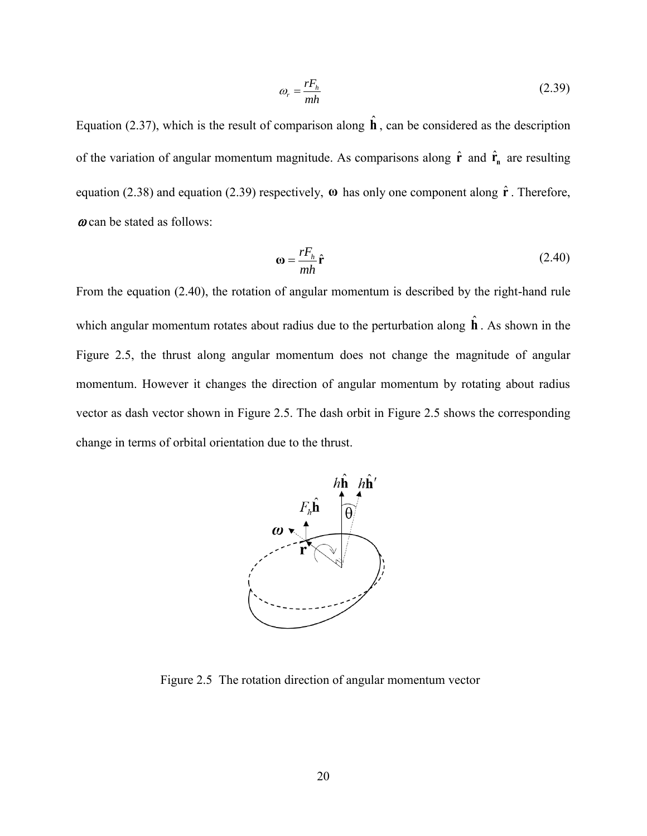<span id="page-32-1"></span>
$$
\omega_r = \frac{rF_h}{mh} \tag{2.39}
$$

Equation [\(2.37\),](#page-31-5) which is the result of comparison along  $\hat{\bf h}$ , can be considered as the description of the variation of angular momentum magnitude. As comparisons along  $\hat{\mathbf{r}}$  and  $\hat{\mathbf{r}}$  are resulting equation [\(2.38\)](#page-31-6) and equation [\(2.39\)](#page-32-1) respectively, **ω** has only one component along **r** ˆ . Therefore,  $\omega$  can be stated as follows:

<span id="page-32-2"></span>
$$
\mathbf{\omega} = \frac{rF_h}{mh}\hat{\mathbf{r}} \tag{2.40}
$$

From the equation [\(2.40\),](#page-32-2) the rotation of angular momentum is described by the right-hand rule which angular momentum rotates about radius due to the perturbation along  $\hat{\bf h}$ . As shown in the [Figure 2.5,](#page-32-0) the thrust along angular momentum does not change the magnitude of angular momentum. However it changes the direction of angular momentum by rotating about radius vector as dash vector shown in [Figure 2.5.](#page-32-0) The dash orbit in [Figure 2.5](#page-32-0) shows the corresponding change in terms of orbital orientation due to the thrust.



<span id="page-32-0"></span>Figure 2.5 The rotation direction of angular momentum vector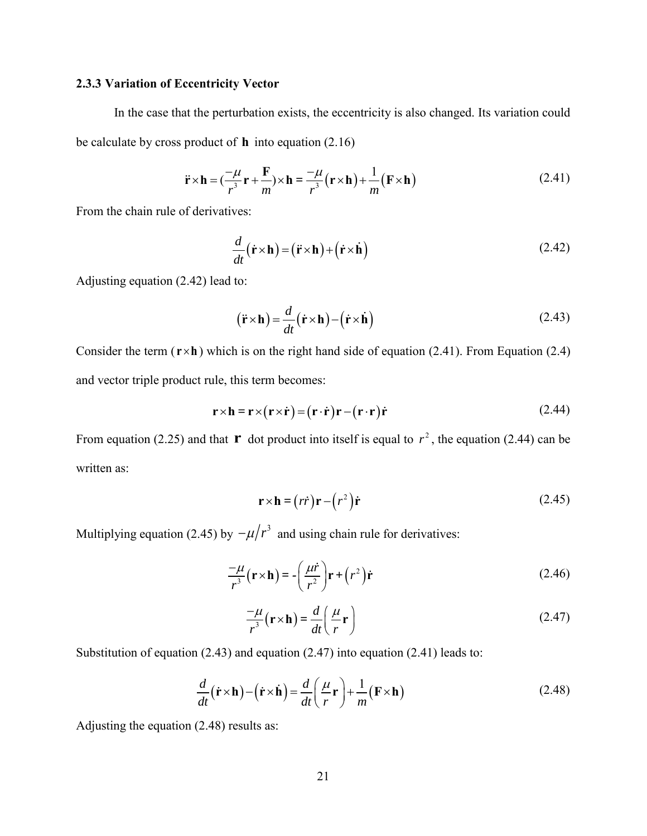### <span id="page-33-0"></span>**2.3.3 Variation of Eccentricity Vector**

In the case that the perturbation exists, the eccentricity is also changed. Its variation could be calculate by cross product of **h** into equation (2.16)<br>  $\vec{r} \times \vec{h} = (\frac{-\mu}{r} + \frac{F}{r}) \times \vec{h} = \frac{-\mu}{r} (r \times \vec{h})$ 

$$
\ddot{\mathbf{r}} \times \mathbf{h} = \left(\frac{-\mu}{r^3} \mathbf{r} + \frac{\mathbf{F}}{m}\right) \times \mathbf{h} = \frac{-\mu}{r^3} (\mathbf{r} \times \mathbf{h}) + \frac{1}{m} (\mathbf{F} \times \mathbf{h})
$$
(2.41)

From the chain rule of derivatives:

<span id="page-33-2"></span><span id="page-33-1"></span>
$$
\frac{d}{dt}(\dot{\mathbf{r}} \times \mathbf{h}) = (\ddot{\mathbf{r}} \times \mathbf{h}) + (\dot{\mathbf{r}} \times \dot{\mathbf{h}})
$$
\n(2.42)

Adjusting equation [\(2.42\)](#page-33-1) lead to:

<span id="page-33-5"></span>
$$
(\ddot{\mathbf{r}} \times \mathbf{h}) = \frac{d}{dt} (\dot{\mathbf{r}} \times \mathbf{h}) - (\dot{\mathbf{r}} \times \dot{\mathbf{h}})
$$
 (2.43)

Consider the term  $(\mathbf{r} \times \mathbf{h})$  which is on the right hand side of equation [\(2.41\).](#page-33-2) From Equation [\(2.4\)](#page-22-4) and vector triple product rule, this term becomes:

$$
\mathbf{r} \times \mathbf{h} = \mathbf{r} \times (\mathbf{r} \times \dot{\mathbf{r}}) = (\mathbf{r} \cdot \dot{\mathbf{r}}) \mathbf{r} - (\mathbf{r} \cdot \mathbf{r}) \dot{\mathbf{r}}
$$
(2.44)

From equation [\(2.25\)](#page-30-1) and that **r** dot product into itself is equal to  $r^2$ , the equation [\(2.44\)](#page-33-3) can be written as:

<span id="page-33-4"></span><span id="page-33-3"></span>
$$
\mathbf{r} \times \mathbf{h} = (r\dot{r})\mathbf{r} - (r^2)\dot{r}
$$
 (2.45)

Multiplying equation [\(2.45\)](#page-33-4) by  $-\mu/r^3$  and using chain rule for derivatives:

$$
\frac{-\mu}{r^3}(\mathbf{r} \times \mathbf{h}) = -\left(\frac{\mu \dot{r}}{r^2}\right) \mathbf{r} + \left(r^2\right) \dot{\mathbf{r}}
$$
\n(2.46)

<span id="page-33-7"></span><span id="page-33-6"></span>
$$
\frac{-\mu}{r^3}(\mathbf{r} \times \mathbf{h}) = \frac{d}{dt} \left( \frac{\mu}{r} \mathbf{r} \right)
$$
\n(2.47)

Substitution of equation (2.43) and equation (2.47) into equation (2.41) leads to:  
\n
$$
\frac{d}{dt}(\dot{\mathbf{r}} \times \mathbf{h}) - (\dot{\mathbf{r}} \times \dot{\mathbf{h}}) = \frac{d}{dt} \left(\frac{\mu}{r} \mathbf{r}\right) + \frac{1}{m} (\mathbf{F} \times \mathbf{h})
$$
\n(2.48)

Adjusting the equation [\(2.48\)](#page-33-7) results as: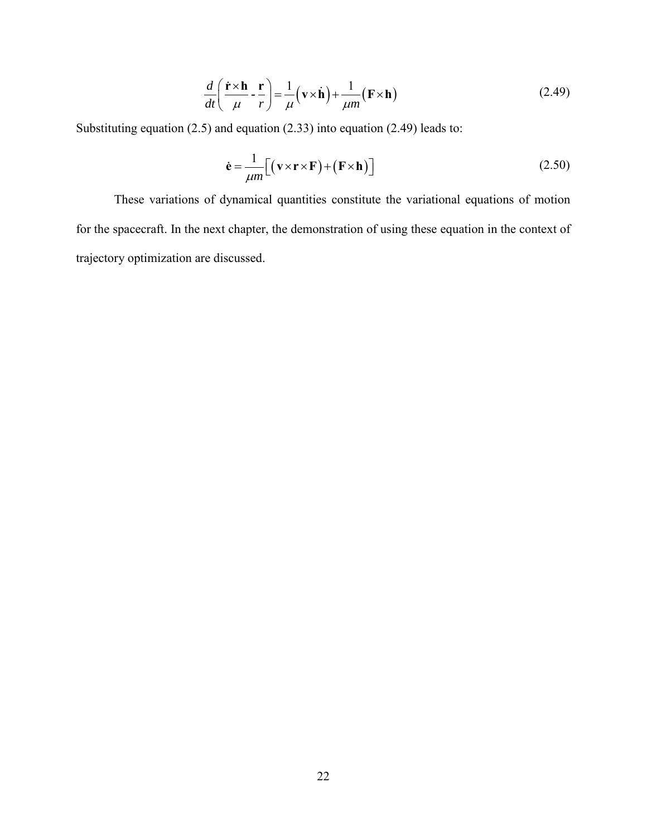$$
\frac{d}{dt} \left( \frac{\dot{\mathbf{r}} \times \mathbf{h}}{\mu} - \frac{\mathbf{r}}{r} \right) = \frac{1}{\mu} (\mathbf{v} \times \dot{\mathbf{h}}) + \frac{1}{\mu m} (\mathbf{F} \times \mathbf{h})
$$
\n(2.49)

Substituting equation [\(2.5\)](#page-23-2) and equation [\(2.33\)](#page-31-1) into equation [\(2.49\)](#page-34-0) leads to:

<span id="page-34-0"></span>
$$
\dot{\mathbf{e}} = \frac{1}{\mu m} \Big[ \big( \mathbf{v} \times \mathbf{r} \times \mathbf{F} \big) + \big( \mathbf{F} \times \mathbf{h} \big) \Big] \tag{2.50}
$$

 $\frac{d}{dt} \left( \frac{\dot{\mathbf{r}} \times \mathbf{h}}{\mu} \cdot \frac{\mathbf{r}}{r} \right) = \frac{1}{\mu} (\mathbf{v} \times \dot{\mathbf{h}}) + \frac{1}{\mu m} (\mathbf{F} \times \mathbf{h})$ <br>
(a) and equation (2.33) into equation (2.49) lead<br>  $\dot{\mathbf{e}} = \frac{1}{\mu m} [(\mathbf{v} \times \mathbf{r} \times \mathbf{F}) + (\mathbf{F} \times \mathbf{h})]$ <br>
of dynam These variations of dynamical quantities constitute the variational equations of motion for the spacecraft. In the next chapter, the demonstration of using these equation in the context of trajectory optimization are discussed.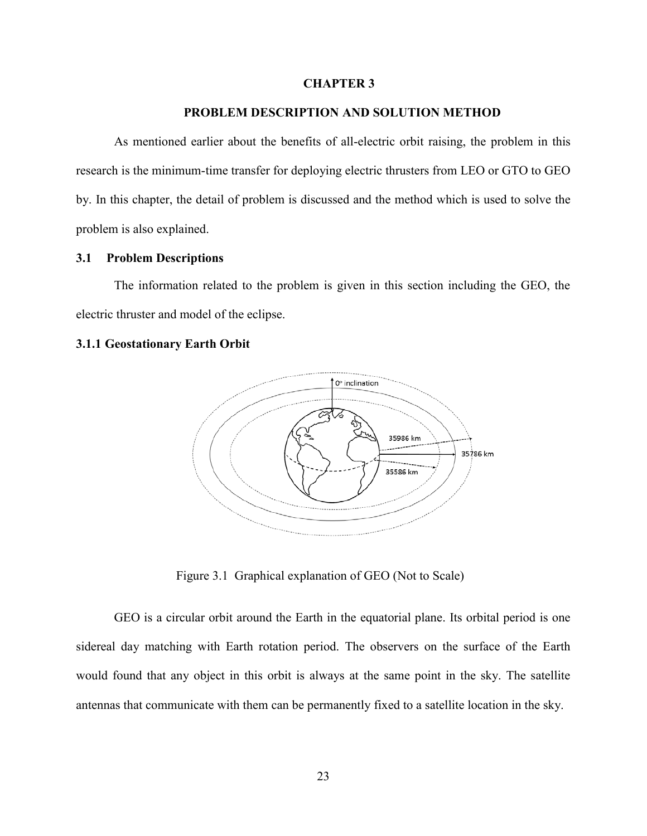#### **CHAPTER 3**

### **3. PROBLEM DESCRIPTION AND SOLUTION METHOD**

<span id="page-35-0"></span>As mentioned earlier about the benefits of all-electric orbit raising, the problem in this research is the minimum-time transfer for deploying electric thrusters from LEO or GTO to GEO by. In this chapter, the detail of problem is discussed and the method which is used to solve the problem is also explained.

### <span id="page-35-1"></span>**3.1 Problem Descriptions**

The information related to the problem is given in this section including the GEO, the electric thruster and model of the eclipse.

### <span id="page-35-2"></span>**3.1.1 Geostationary Earth Orbit**



Figure 3.1 Graphical explanation of GEO (Not to Scale)

<span id="page-35-3"></span>GEO is a circular orbit around the Earth in the equatorial plane. Its orbital period is one sidereal day matching with Earth rotation period. The observers on the surface of the Earth would found that any object in this orbit is always at the same point in the sky. The satellite antennas that communicate with them can be permanently fixed to a satellite location in the sky.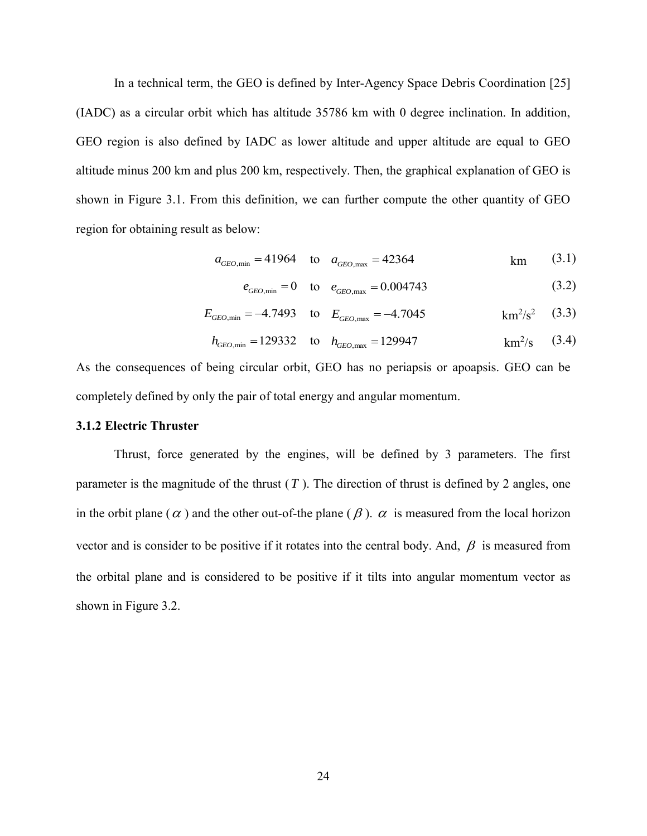In a technical term, the GEO is defined by Inter-Agency Space Debris Coordination [\[25\]](#page-66-2) (IADC) as a circular orbit which has altitude 35786 km with 0 degree inclination. In addition, GEO region is also defined by IADC as lower altitude and upper altitude are equal to GEO altitude minus 200 km and plus 200 km, respectively. Then, the graphical explanation of GEO is shown in Figure 3.1. From this definition, we can further compute the other quantity of GEO region for obtaining result as below:

$$
a_{\text{GEO,min}} = 41964
$$
 to  $a_{\text{GEO,max}} = 42364$  km (3.1)

$$
e_{\text{GEO,min}} = 0
$$
 to  $e_{\text{GEO,max}} = 0.004743$  (3.2)

$$
E_{GEO,min} = -4.7493
$$
 to  $E_{GEO,max} = -4.7045$  km<sup>2</sup>/s<sup>2</sup> (3.3)

$$
h_{GEO,min} = 129332
$$
 to  $h_{GEO,max} = 129947$  km<sup>2</sup>/s (3.4)

As the consequences of being circular orbit, GEO has no periapsis or apoapsis. GEO can be completely defined by only the pair of total energy and angular momentum.

### <span id="page-36-0"></span>**3.1.2 Electric Thruster**

Thrust, force generated by the engines, will be defined by 3 parameters. The first parameter is the magnitude of the thrust  $(T)$ . The direction of thrust is defined by 2 angles, one in the orbit plane ( $\alpha$ ) and the other out-of-the plane ( $\beta$ ).  $\alpha$  is measured from the local horizon vector and is consider to be positive if it rotates into the central body. And,  $\beta$  is measured from the orbital plane and is considered to be positive if it tilts into angular momentum vector as shown in [Figure 3.2.](#page-37-1)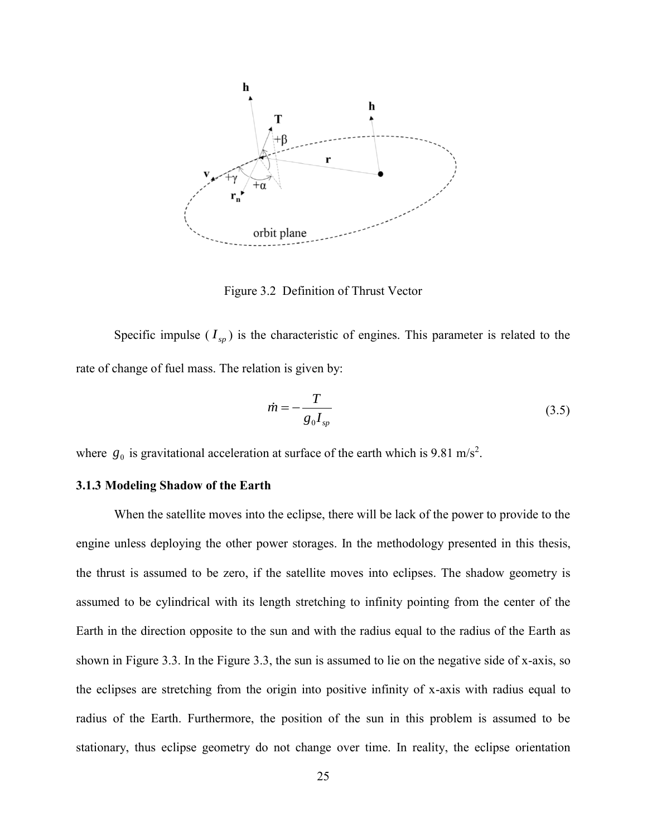

Figure 3.2 Definition of Thrust Vector

<span id="page-37-1"></span>Specific impulse  $(I_{sp})$  is the characteristic of engines. This parameter is related to the rate of change of fuel mass. The relation is given by:

$$
\dot{m} = -\frac{T}{g_0 I_{sp}}\tag{3.5}
$$

where  $g_0$  is gravitational acceleration at surface of the earth which is 9.81 m/s<sup>2</sup>.

### <span id="page-37-0"></span>**3.1.3 Modeling Shadow of the Earth**

When the satellite moves into the eclipse, there will be lack of the power to provide to the engine unless deploying the other power storages. In the methodology presented in this thesis, the thrust is assumed to be zero, if the satellite moves into eclipses. The shadow geometry is assumed to be cylindrical with its length stretching to infinity pointing from the center of the Earth in the direction opposite to the sun and with the radius equal to the radius of the Earth as shown in [Figure 3.3.](#page-38-0) In the [Figure 3.3,](#page-38-0) the sun is assumed to lie on the negative side of x-axis, so the eclipses are stretching from the origin into positive infinity of x-axis with radius equal to radius of the Earth. Furthermore, the position of the sun in this problem is assumed to be stationary, thus eclipse geometry do not change over time. In reality, the eclipse orientation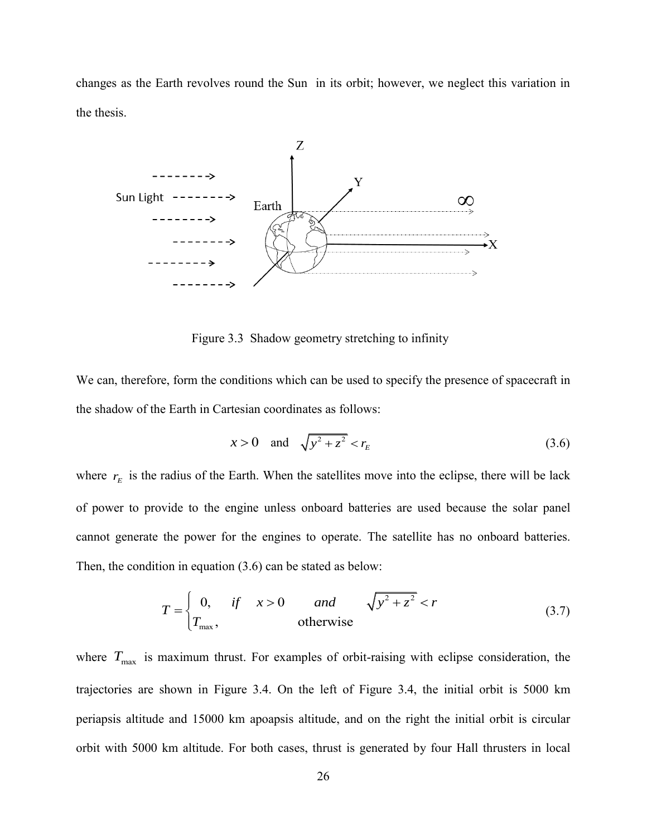changes as the Earth revolves round the Sun in its orbit; however, we neglect this variation in the thesis.



Figure 3.3 Shadow geometry stretching to infinity

<span id="page-38-0"></span>We can, therefore, form the conditions which can be used to specify the presence of spacecraft in the shadow of the Earth in Cartesian coordinates as follows:

<span id="page-38-1"></span>
$$
x > 0
$$
 and  $\sqrt{y^2 + z^2} < r_E$  (3.6)

where  $r_E$  is the radius of the Earth. When the satellites move into the eclipse, there will be lack of power to provide to the engine unless onboard batteries are used because the solar panel cannot generate the power for the engines to operate. The satellite has no onboard batteries. Then, the condition in equation (3.6) can be stated as below:

$$
T = \begin{cases} 0, & \text{if } x > 0 \\ T_{\text{max}}, & \text{otherwise} \end{cases} \text{ and } \sqrt{y^2 + z^2} < r \tag{3.7}
$$

where  $T_{\text{max}}$  is maximum thrust. For examples of orbit-raising with eclipse consideration, the trajectories are shown in [Figure 3.4.](#page-39-2) On the left of [Figure 3.4,](#page-39-2) the initial orbit is 5000 km periapsis altitude and 15000 km apoapsis altitude, and on the right the initial orbit is circular orbit with 5000 km altitude. For both cases, thrust is generated by four Hall thrusters in local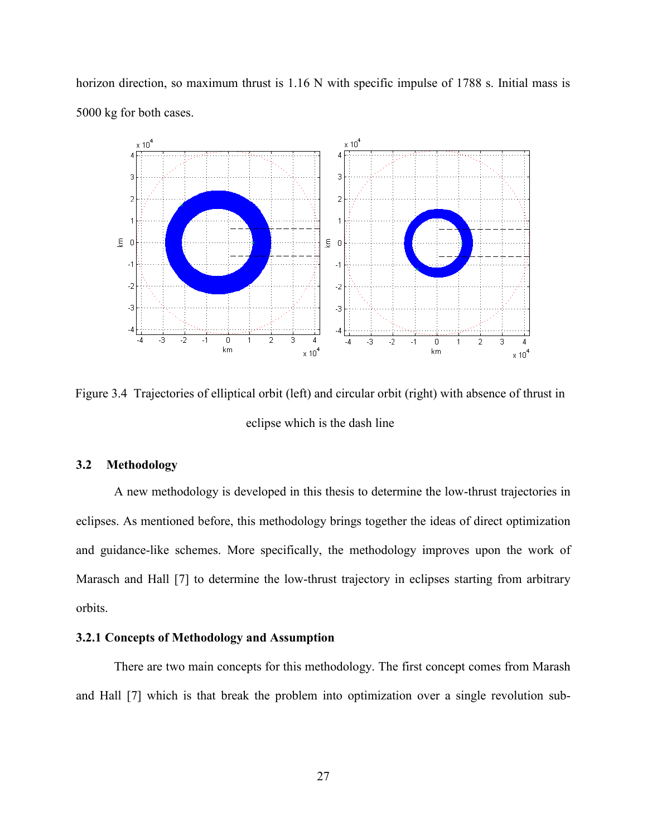horizon direction, so maximum thrust is 1.16 N with specific impulse of 1788 s. Initial mass is 5000 kg for both cases.



<span id="page-39-2"></span>Figure 3.4 Trajectories of elliptical orbit (left) and circular orbit (right) with absence of thrust in eclipse which is the dash line

### <span id="page-39-0"></span>**3.2 Methodology**

A new methodology is developed in this thesis to determine the low-thrust trajectories in eclipses. As mentioned before, this methodology brings together the ideas of direct optimization and guidance-like schemes. More specifically, the methodology improves upon the work of Marasch and Hall [\[7\]](#page-64-4) to determine the low-thrust trajectory in eclipses starting from arbitrary orbits.

### <span id="page-39-1"></span>**3.2.1 Concepts of Methodology and Assumption**

There are two main concepts for this methodology. The first concept comes from Marash and Hall [\[7\]](#page-64-4) which is that break the problem into optimization over a single revolution sub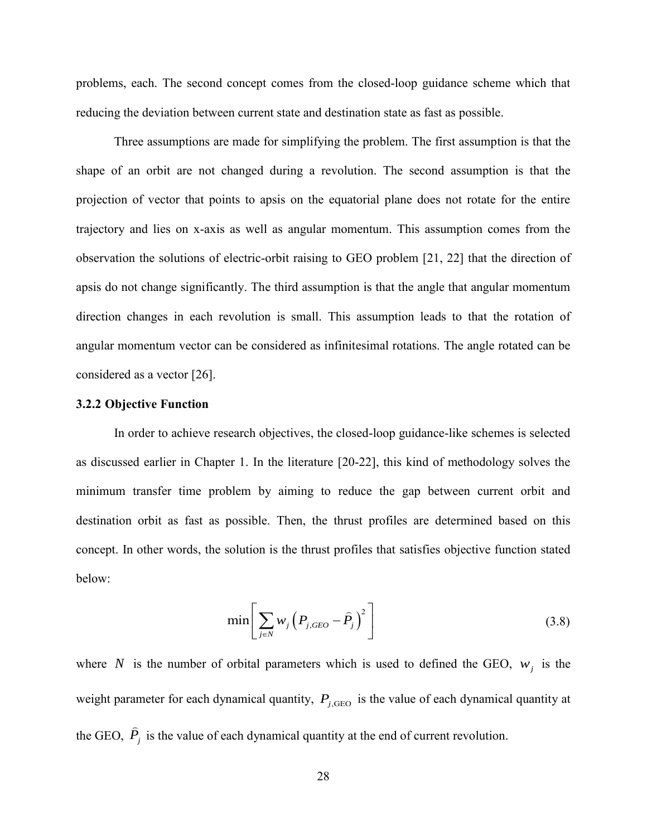problems, each. The second concept comes from the closed-loop guidance scheme which that reducing the deviation between current state and destination state as fast as possible.

Three assumptions are made for simplifying the problem. The first assumption is that the shape of an orbit are not changed during a revolution. The second assumption is that the projection of vector that points to apsis on the equatorial plane does not rotate for the entire trajectory and lies on x-axis as well as angular momentum. This assumption comes from the observation the solutions of electric-orbit raising to GEO problem [\[21,](#page-65-9) [22\]](#page-65-10) that the direction of apsis do not change significantly. The third assumption is that the angle that angular momentum direction changes in each revolution is small. This assumption leads to that the rotation of angular momentum vector can be considered as infinitesimal rotations. The angle rotated can be considered as a vector [\[26\]](#page-66-3).

### <span id="page-40-0"></span>**3.2.2 Objective Function**

In order to achieve research objectives, the closed-loop guidance-like schemes is selected as discussed earlier in Chapter 1. In the literature [\[20-22\]](#page-65-8), this kind of methodology solves the minimum transfer time problem by aiming to reduce the gap between current orbit and destination orbit as fast as possible. Then, the thrust profiles are determined based on this concept. In other words, the solution is the thrust profiles that satisfies objective function stated below:

<span id="page-40-1"></span>
$$
\min\left[\sum_{j\in N} w_j \left(P_{j, GEO} - \widehat{P}_j\right)^2\right]
$$
\n(3.8)

where N is the number of orbital parameters which is used to defined the GEO,  $w_j$  is the weight parameter for each dynamical quantity,  $P_{j,\text{GEO}}$  is the value of each dynamical quantity at the GEO,  $\hat{P}_j$  is the value of each dynamical quantity at the end of current revolution.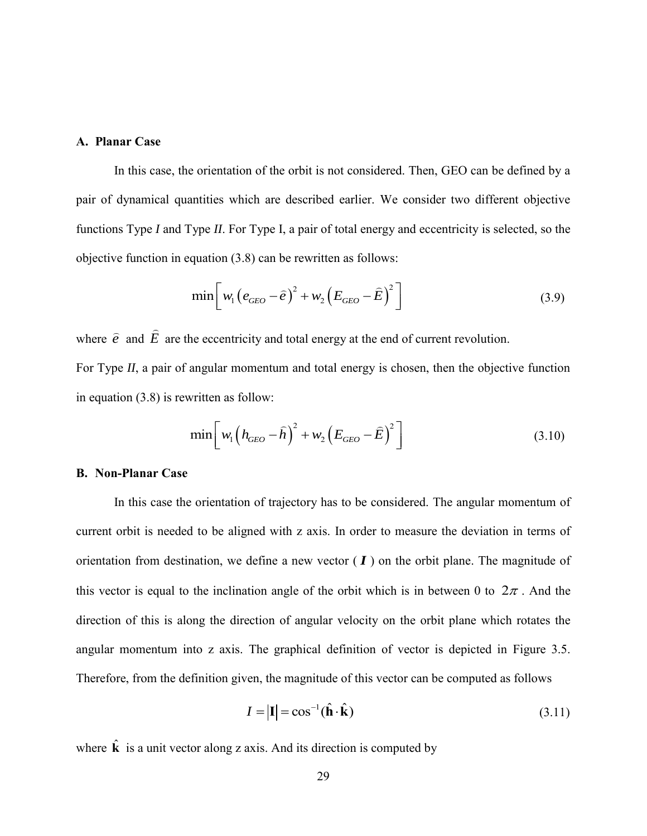### **A. Planar Case**

In this case, the orientation of the orbit is not considered. Then, GEO can be defined by a pair of dynamical quantities which are described earlier. We consider two different objective functions Type *I* and Type *II*. For Type I, a pair of total energy and eccentricity is selected, so the

objective function in equation (3.8) can be rewritten as follows:  
\n
$$
\min \left[ w_1 \left( e_{GEO} - \hat{e} \right)^2 + w_2 \left( E_{GEO} - \hat{E} \right)^2 \right]
$$
\n(3.9)

where  $\hat{e}$  and  $\hat{E}$  are the eccentricity and total energy at the end of current revolution.

For Type *II*, a pair of angular momentum and total energy is chosen, then the objective function in equation [\(3.8\)](#page-40-1) is rewritten as follow:

<span id="page-41-1"></span><span id="page-41-0"></span>written as follow:  
\n
$$
\min \left[ w_1 \left( h_{GEO} - \hat{h} \right)^2 + w_2 \left( E_{GEO} - \hat{E} \right)^2 \right]
$$
\n(3.10)

### **B. Non-Planar Case**

In this case the orientation of trajectory has to be considered. The angular momentum of current orbit is needed to be aligned with z axis. In order to measure the deviation in terms of orientation from destination, we define a new vector  $(I)$  on the orbit plane. The magnitude of this vector is equal to the inclination angle of the orbit which is in between 0 to  $2\pi$ . And the direction of this is along the direction of angular velocity on the orbit plane which rotates the angular momentum into z axis. The graphical definition of vector is depicted in [Figure 3.5.](#page-43-1) Therefore, from the definition given, the magnitude of this vector can be computed as follows

$$
I = |\mathbf{I}| = \cos^{-1}(\hat{\mathbf{h}} \cdot \hat{\mathbf{k}})
$$
 (3.11)

where  $\hat{\mathbf{k}}$  is a unit vector along z axis. And its direction is computed by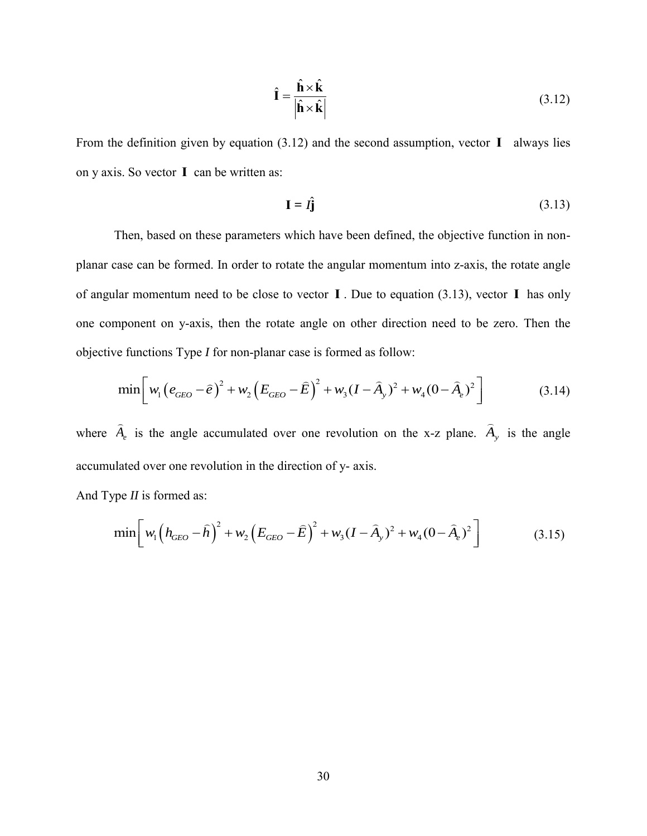<span id="page-42-0"></span>
$$
\hat{\mathbf{I}} = \frac{\hat{\mathbf{h}} \times \hat{\mathbf{k}}}{|\hat{\mathbf{h}} \times \hat{\mathbf{k}}|}
$$
(3.12)

From the definition given by equation [\(3.12\)](#page-42-0) and the second assumption, vector **I** always lies on y axis. So vector **I** can be written as:

<span id="page-42-1"></span>
$$
\mathbf{I} = \hat{\mathbf{I}} \mathbf{j} \tag{3.13}
$$

 $\hat{\mathbf{i}} = \frac{\hat{\mathbf{h}} \times \hat{\mathbf{k}}}{|\hat{\mathbf{h}} \times \hat{\mathbf{k}}|}$ <br>
(3.12) and<br>
s:<br>  $\mathbf{I} = I\hat{\mathbf{j}}$ <br>
rs which has<br>
rotate the a<br>
e to vector<br>
otate angle<br>
ar case is f<br>  $\left(\frac{\mathbf{k}}{\mathbf{k}}\right)^2 + \text{over one r}$ <br>
direction c<br>  $\left(\frac{\mathbf{k}}{\mathbf{k}}\right)^2 + \text{over$ Then, based on these parameters which have been defined, the objective function in nonplanar case can be formed. In order to rotate the angular momentum into z-axis, the rotate angle of angular momentum need to be close to vector **I** . Due to equation [\(3.13\),](#page-42-1) vector **I** has only one component on y-axis, then the rotate angle on other direction need to be zero. Then the objective functions Type I for non-planar case is formed as follow:<br>  $\min \left[ w_1 (e_{GEO} - \hat{e})^2 + w_2 (E_{GEO} - \hat{E})^2 + w_3 (I - \hat{A}_y)^2 + w_4$ 

objective functions Type *I* for non-planar case is formed as follow:  
\n
$$
\min \left[ w_1 \left( e_{GEO} - \hat{e} \right)^2 + w_2 \left( E_{GEO} - \hat{E} \right)^2 + w_3 (I - \hat{A}_y)^2 + w_4 (0 - \hat{A}_e)^2 \right]
$$
\n(3.14)

where  $\hat{A}_e$  is the angle accumulated over one revolution on the x-z plane.  $\hat{A}_y$  is the angle accumulated over one revolution in the direction of y- axis.

And Type *II* is formed as:

ulated over one revolution in the direction of y-axis.

\n
$$
\text{The } H \text{ is formed as:}
$$
\n
$$
\min \left[ w_1 \left( h_{GEO} - \hat{h} \right)^2 + w_2 \left( E_{GEO} - \hat{E} \right)^2 + w_3 (I - \hat{A}_y)^2 + w_4 (0 - \hat{A}_e)^2 \right] \tag{3.15}
$$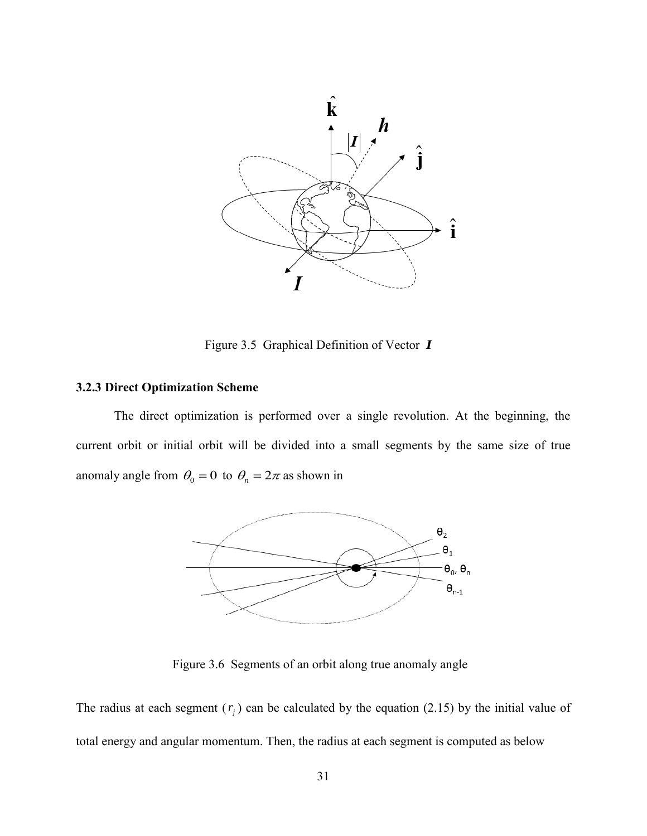

Figure 3.5 Graphical Definition of Vector *I*

### <span id="page-43-1"></span><span id="page-43-0"></span>**3.2.3 Direct Optimization Scheme**

The direct optimization is performed over a single revolution. At the beginning, the current orbit or initial orbit will be divided into a small segments by the same size of true anomaly angle from  $\theta_0 = 0$  to  $\theta_n = 2\pi$  as shown in



Figure 3.6 Segments of an orbit along true anomaly angle

<span id="page-43-2"></span>The radius at each segment  $(r_j)$  can be calculated by the equation [\(2.15\)](#page-27-5) by the initial value of total energy and angular momentum. Then, the radius at each segment is computed as below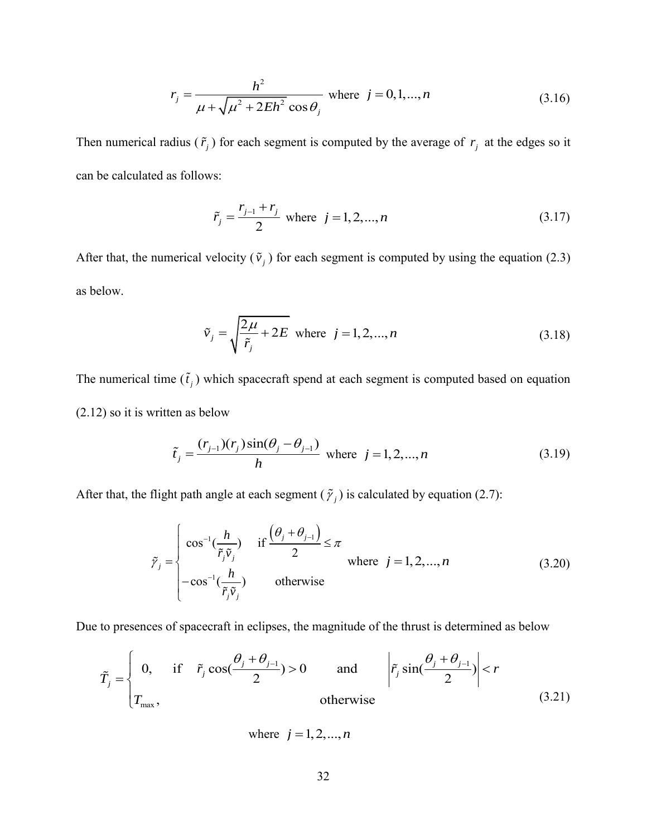$$
r_j = \frac{h^2}{\mu + \sqrt{\mu^2 + 2Eh^2} \cos \theta_j}
$$
 where  $j = 0, 1, ..., n$  (3.16)

Then numerical radius  $(\tilde{r}_j)$  for each segment is computed by the average of  $r_j$  at the edges so it can be calculated as follows:

$$
\tilde{r}_j = \frac{r_{j-1} + r_j}{2} \text{ where } j = 1, 2, ..., n \tag{3.17}
$$

After that, the numerical velocity  $(\tilde{v}_j)$  for each segment is computed by using the equation [\(2.3\)](#page-22-3) as below.

$$
\tilde{v}_j = \sqrt{\frac{2\mu}{\tilde{r}_j} + 2E} \text{ where } j = 1, 2, ..., n
$$
\n(3.18)

The numerical time  $(\tilde{t}_j)$  which spacecraft spend at each segment is computed based on equation [\(2.12\)](#page-26-5) so it is written as below

$$
\tilde{t}_j = \frac{(r_{j-1})(r_j)\sin(\theta_j - \theta_{j-1})}{h} \text{ where } j = 1, 2, ..., n
$$
\n(3.19)

$$
r_j = \frac{h^2}{\mu + \sqrt{\mu^2 + 2Eh^2} \cos \theta_j}
$$
 where  $j = 0, 1, ..., n$  (3.16)  
\nThen numerical radius  $(\tilde{r}_j)$  for each segment is computed by the average of  $r_j$  at the edges so it  
\ncan be calculated as follows:  
\n
$$
\tilde{r}_j = \frac{r_{j-1} + r_j}{2}
$$
 where  $j = 1, 2, ..., n$  (3.17)  
\nAfter that, the numerical velocity  $(\tilde{v}_j)$  for each segment is computed by using the equation (2.3)  
\nas below.  
\n
$$
\tilde{v}_j = \sqrt{\frac{2\mu}{\tilde{r}_j} + 2E}
$$
 where  $j = 1, 2, ..., n$  (3.18)  
\nThe numerical time  $(\tilde{t}_j)$  which spacecraft spend at each segment is computed based on equation  
\n(2.12) so it is written as below  
\n
$$
\tilde{t}_j = \frac{(r_{j-1})(r_j)\sin(\theta_j - \theta_{j-1})}{h}
$$
 where  $j = 1, 2, ..., n$  (3.19)  
\nAfter that, the flight path angle at each segment  $(\tilde{r}_j)$  is calculated by equation (2.7):  
\n
$$
\tilde{r}_j = \begin{cases}\n\cos^{-1}(\frac{h}{\tilde{r}_j\tilde{v}_j}) & \text{if } \frac{(\theta_j + \theta_{j-1})}{2} \leq \pi \\
-\cos^{-1}(\frac{h}{\tilde{r}_j\tilde{v}_j}) & \text{otherwise}\n\end{cases}
$$
\n(3.20)  
\nDue to presences of spacecraft in eclipses, the magnitude of the thrust is determined as below  
\n
$$
\tilde{T}_j = \begin{cases}\n0, & \text{if } \tilde{r}_j \cos(\frac{\theta_j + \theta_{j-1}}{2}) > 0 \\
-\cos^{-1}(\frac{\theta_j + \theta_{j-1}}{2}) > 0 & \text{and} \end{cases}
$$
\n
$$
\tilde{r}_j \sin(\frac{\theta_j + \theta_{j-1}}{2}) < r
$$
\nwhere  $j = 1, 2, ..., n$   
\n32

Due to presence of spacecraft in eclipses, the magnitude of the thrust is determined as below  
\n
$$
\tilde{T}_j = \begin{cases}\n0, & \text{if } \tilde{r}_j \cos(\frac{\theta_j + \theta_{j-1}}{2}) > 0 \\
T_{\text{max}}, & \text{otherwise}\n\end{cases}
$$
 and 
$$
\left|\tilde{r}_j \sin(\frac{\theta_j + \theta_{j-1}}{2})\right| < r
$$
\n(3.21)

where  $j = 1, 2, ..., n$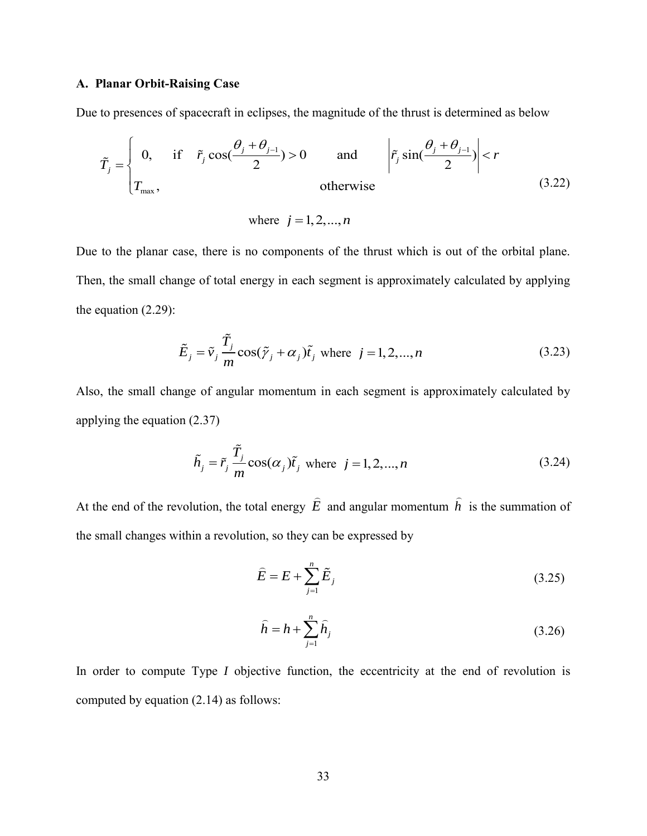### **A. Planar Orbit-Raising Case**

Due to presences of spacecraft in eclipses, the magnitude of the thrust is determined as below  
\n
$$
\tilde{T}_j = \begin{cases}\n0, & \text{if } \tilde{r}_j \cos(\frac{\theta_j + \theta_{j-1}}{2}) > 0 \\
T_{\text{max}}, & \text{otherwise}\n\end{cases}
$$
 and 
$$
\left| \tilde{r}_j \sin(\frac{\theta_j + \theta_{j-1}}{2}) \right| < r
$$
\n(3.22)

<span id="page-45-2"></span>where  $j = 1, 2, ..., n$ 

Due to the planar case, there is no components of the thrust which is out of the orbital plane. Then, the small change of total energy in each segment is approximately calculated by applying the equation [\(2.29\):](#page-30-4)

$$
\tilde{E}_j = \tilde{v}_j \frac{\tilde{T}_j}{m} \cos(\tilde{\gamma}_j + \alpha_j)\tilde{t}_j \text{ where } j = 1, 2, ..., n
$$
\n(3.23)

Also, the small change of angular momentum in each segment is approximately calculated by applying the equation [\(2.37\)](#page-31-5)

$$
\tilde{h}_j = \tilde{r}_j \frac{\tilde{T}_j}{m} \cos(\alpha_j) \tilde{t}_j \text{ where } j = 1, 2, ..., n
$$
\n(3.24)

At the end of the revolution, the total energy  $\vec{E}$  and angular momentum  $\hat{h}$  is the summation of the small changes within a revolution, so they can be expressed by

<span id="page-45-3"></span><span id="page-45-0"></span>
$$
\widehat{E} = E + \sum_{j=1}^{n} \widetilde{E}_j
$$
\n(3.25)

<span id="page-45-1"></span>
$$
\hat{h} = h + \sum_{j=1}^{n} \hat{h}_j
$$
\n(3.26)

In order to compute Type *I* objective function, the eccentricity at the end of revolution is computed by equation [\(2.14\)](#page-27-2) as follows: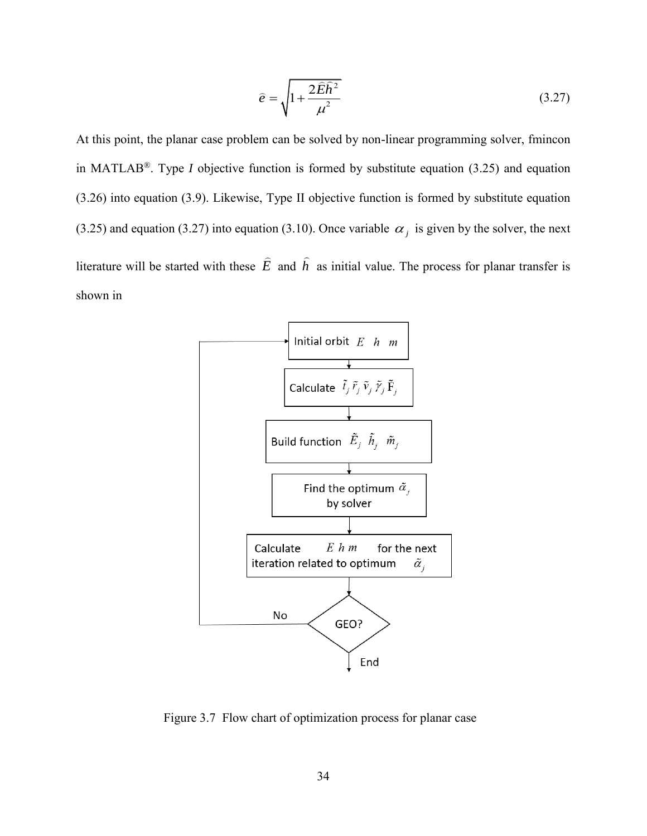<span id="page-46-1"></span>
$$
\hat{e} = \sqrt{1 + \frac{2\hat{E}\hat{h}^2}{\mu^2}}\tag{3.27}
$$

At this point, the planar case problem can be solved by non-linear programming solver, fmincon in MATLAB®. Type *I* objective function is formed by substitute equation [\(3.25\)](#page-45-0) and equation [\(3.26\)](#page-45-1) into equation [\(3.9\).](#page-41-0) Likewise, Type II objective function is formed by substitute equation [\(3.25\)](#page-45-0) and equation [\(3.27\)](#page-46-1) into equation [\(3.10\).](#page-41-1) Once variable  $\alpha_j$  is given by the solver, the next literature will be started with these  $E$  and  $h$  as initial value. The process for planar transfer is shown in



<span id="page-46-0"></span>Figure 3.7 Flow chart of optimization process for planar case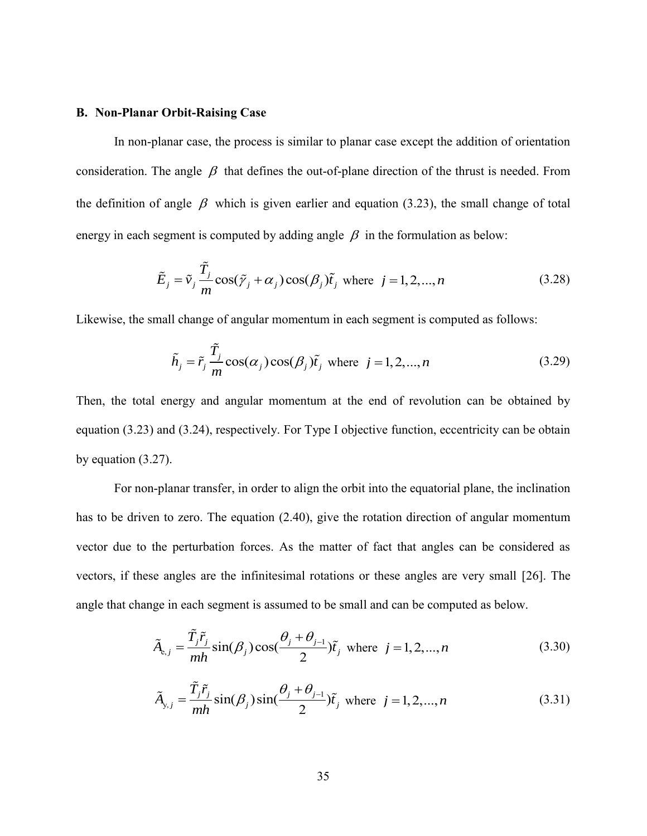### **B. Non-Planar Orbit-Raising Case**

In non-planar case, the process is similar to planar case except the addition of orientation consideration. The angle  $\beta$  that defines the out-of-plane direction of the thrust is needed. From the definition of angle  $\beta$  which is given earlier and equation [\(3.23\),](#page-45-2) the small change of total energy in each segment is computed by adding angle  $\beta$  in the formulation as below:

$$
\tilde{E}_j = \tilde{v}_j \frac{\tilde{T}_j}{m} \cos(\tilde{y}_j + \alpha_j) \cos(\beta_j) \tilde{t}_j \text{ where } j = 1, 2, ..., n
$$
\n(3.28)

Likewise, the small change of angular momentum in each segment is computed as follows:

$$
\tilde{h}_j = \tilde{r}_j \frac{\tilde{T}_j}{m} \cos(\alpha_j) \cos(\beta_j) \tilde{t}_j \text{ where } j = 1, 2, ..., n
$$
\n(3.29)

Then, the total energy and angular momentum at the end of revolution can be obtained by equation [\(3.23\)](#page-45-2) and [\(3.24\),](#page-45-3) respectively. For Type I objective function, eccentricity can be obtain by equation [\(3.27\).](#page-46-1)

For non-planar transfer, in order to align the orbit into the equatorial plane, the inclination has to be driven to zero. The equation [\(2.40\),](#page-32-2) give the rotation direction of angular momentum vector due to the perturbation forces. As the matter of fact that angles can be considered as vectors, if these angles are the infinitesimal rotations or these angles are very small [\[26\]](#page-66-3). The angle that change in each segment is assumed to be small and can be computed as below.

$$
\tilde{A}_{e,j} = \frac{\tilde{T}_j \tilde{r}_j}{mh} \sin(\beta_j) \cos(\frac{\theta_j + \theta_{j-1}}{2}) \tilde{t}_j \text{ where } j = 1, 2, ..., n
$$
\n(3.30)

<span id="page-47-1"></span><span id="page-47-0"></span>
$$
\tilde{A}_{y,j} = \frac{\tilde{T}_j \tilde{r}_j}{mh} \sin(\beta_j) \sin(\frac{\theta_j + \theta_{j-1}}{2}) \tilde{t}_j \text{ where } j = 1, 2, ..., n
$$
\n(3.31)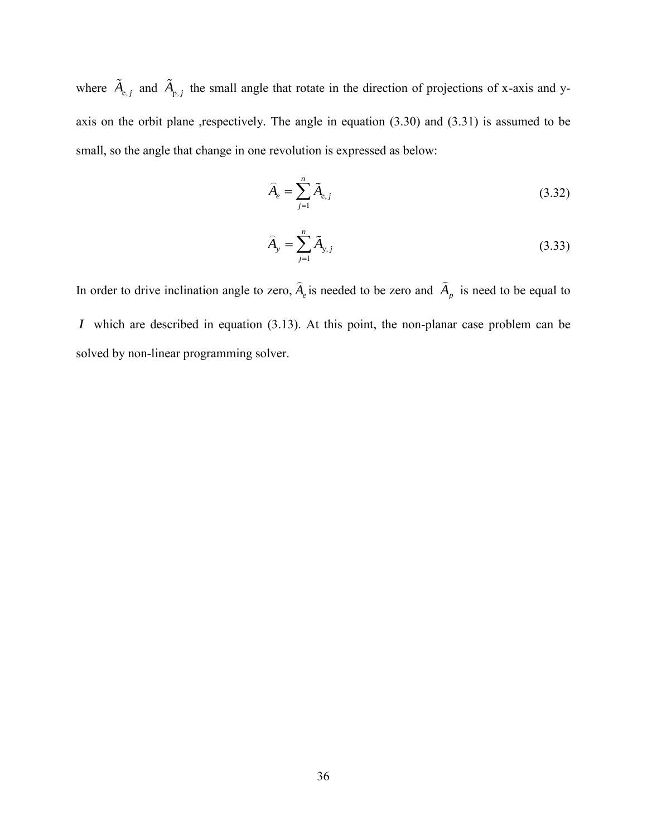where  $\hat{A}_{e,j}$  and  $\hat{A}_{p,j}$  the small angle that rotate in the direction of projections of x-axis and yaxis on the orbit plane ,respectively. The angle in equation  $(3.30)$  and  $(3.31)$  is assumed to be small, so the angle that change in one revolution is expressed as below:

$$
\widehat{A}_e = \sum_{j=1}^n \widetilde{A}_{e,j} \tag{3.32}
$$

$$
\widehat{A}_{y} = \sum_{j=1}^{n} \widetilde{A}_{y,j} \tag{3.33}
$$

In order to drive inclination angle to zero,  $\hat{A}_e$  is needed to be zero and  $\hat{A}_p$  is need to be equal to *I* which are described in equation [\(3.13\).](#page-42-1) At this point, the non-planar case problem can be solved by non-linear programming solver.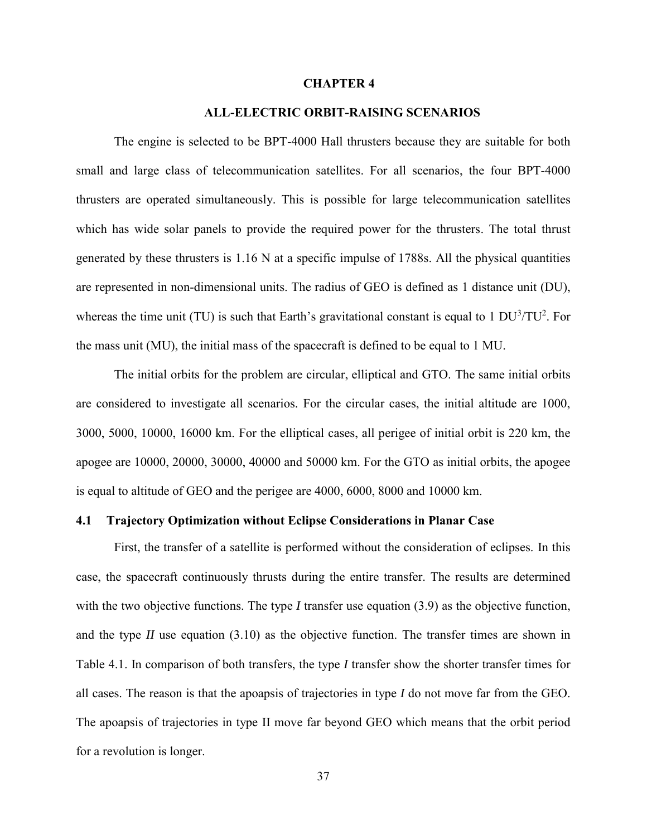#### **CHAPTER 4**

### **4. ALL-ELECTRIC ORBIT-RAISING SCENARIOS**

<span id="page-49-0"></span>The engine is selected to be BPT-4000 Hall thrusters because they are suitable for both small and large class of telecommunication satellites. For all scenarios, the four BPT-4000 thrusters are operated simultaneously. This is possible for large telecommunication satellites which has wide solar panels to provide the required power for the thrusters. The total thrust generated by these thrusters is 1.16 N at a specific impulse of 1788s. All the physical quantities are represented in non-dimensional units. The radius of GEO is defined as 1 distance unit (DU), whereas the time unit (TU) is such that Earth's gravitational constant is equal to 1  $DU<sup>3</sup>/TU<sup>2</sup>$ . For the mass unit (MU), the initial mass of the spacecraft is defined to be equal to 1 MU.

The initial orbits for the problem are circular, elliptical and GTO. The same initial orbits are considered to investigate all scenarios. For the circular cases, the initial altitude are 1000, 3000, 5000, 10000, 16000 km. For the elliptical cases, all perigee of initial orbit is 220 km, the apogee are 10000, 20000, 30000, 40000 and 50000 km. For the GTO as initial orbits, the apogee is equal to altitude of GEO and the perigee are 4000, 6000, 8000 and 10000 km.

### <span id="page-49-1"></span>**4.1 Trajectory Optimization without Eclipse Considerations in Planar Case**

First, the transfer of a satellite is performed without the consideration of eclipses. In this case, the spacecraft continuously thrusts during the entire transfer. The results are determined with the two objective functions. The type *I* transfer use equation [\(3.9\)](#page-41-0) as the objective function, and the type *II* use equation [\(3.10\)](#page-41-1) as the objective function. The transfer times are shown in Table 4.1. In comparison of both transfers, the type *I* transfer show the shorter transfer times for all cases. The reason is that the apoapsis of trajectories in type *I* do not move far from the GEO. The apoapsis of trajectories in type II move far beyond GEO which means that the orbit period for a revolution is longer.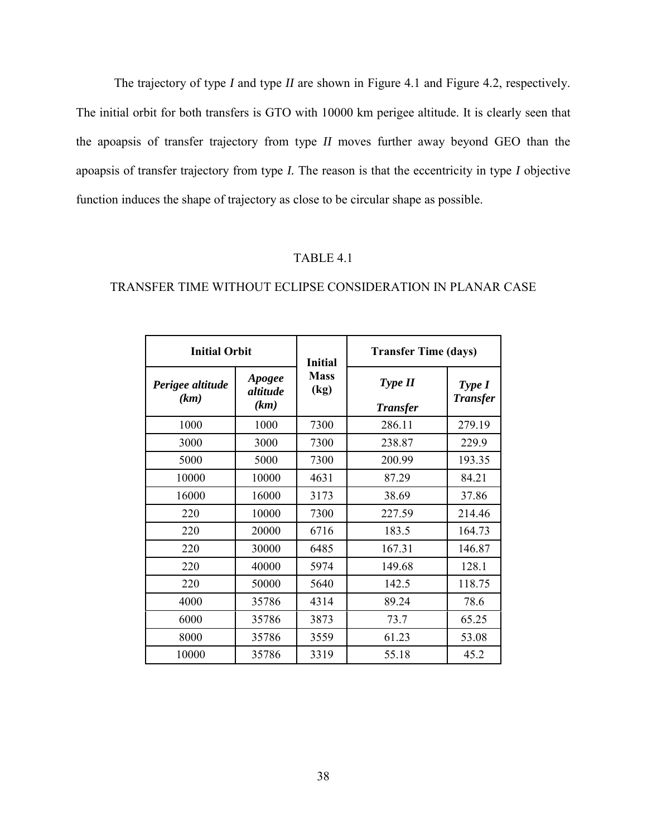The trajectory of type *I* and type *II* are shown in [Figure 4.1](#page-51-0) and [Figure 4.2,](#page-51-1) respectively. The initial orbit for both transfers is GTO with 10000 km perigee altitude. It is clearly seen that the apoapsis of transfer trajectory from type *II* moves further away beyond GEO than the apoapsis of transfer trajectory from type *I.* The reason is that the eccentricity in type *I* objective function induces the shape of trajectory as close to be circular shape as possible.

### TABLE 4.1

### <span id="page-50-0"></span>TRANSFER TIME WITHOUT ECLIPSE CONSIDERATION IN PLANAR CASE

| <b>Initial Orbit</b>     |                            | <b>Initial</b>      | <b>Transfer Time (days)</b> |                           |  |
|--------------------------|----------------------------|---------------------|-----------------------------|---------------------------|--|
| Perigee altitude<br>(km) | Apogee<br>altitude<br>(km) | <b>Mass</b><br>(kg) | Type II<br><b>Transfer</b>  | Type I<br><b>Transfer</b> |  |
| 1000                     | 1000                       | 7300                | 286.11                      | 279.19                    |  |
| 3000                     | 3000                       | 7300                | 238.87                      | 229.9                     |  |
| 5000                     | 5000                       | 7300                | 200.99                      | 193.35                    |  |
| 10000                    | 10000                      | 4631                | 87.29                       | 84.21                     |  |
| 16000                    | 16000                      | 3173                | 38.69                       | 37.86                     |  |
| 220                      | 10000                      | 7300                | 227.59                      | 214.46                    |  |
| 220                      | 20000                      | 6716                | 183.5                       | 164.73                    |  |
| 220                      | 30000                      | 6485                | 167.31                      | 146.87                    |  |
| 220                      | 40000                      | 5974                | 149.68                      | 128.1                     |  |
| 220                      | 50000                      | 5640                | 142.5                       | 118.75                    |  |
| 4000                     | 35786                      | 4314                | 89.24                       | 78.6                      |  |
| 6000                     | 35786                      | 3873                | 73.7                        | 65.25                     |  |
| 8000                     | 35786                      | 3559                | 61.23                       | 53.08                     |  |
| 10000                    | 35786                      | 3319                | 55.18                       | 45.2                      |  |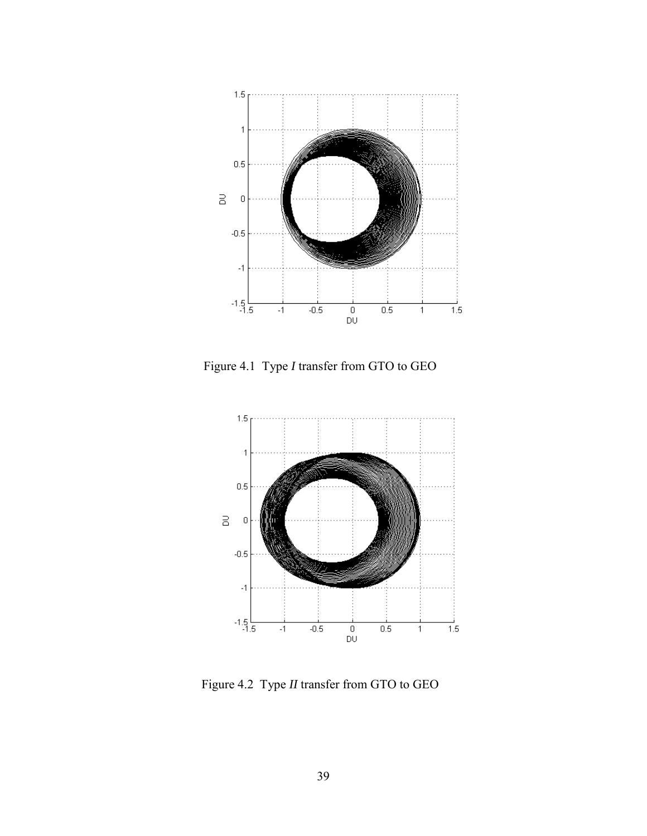

<span id="page-51-0"></span>Figure 4.1 Type *I* transfer from GTO to GEO



<span id="page-51-1"></span>Figure 4.2 Type *II* transfer from GTO to GEO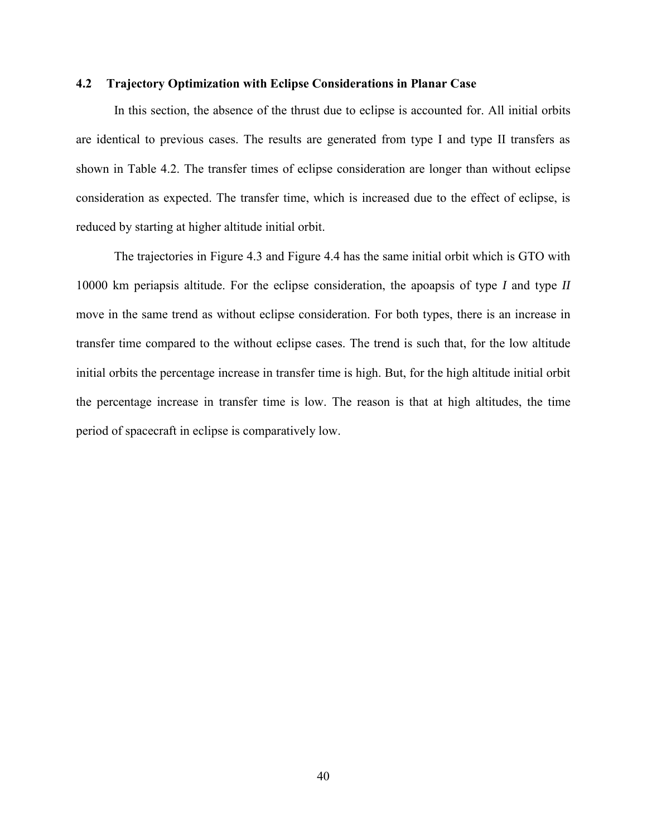### <span id="page-52-0"></span>**4.2 Trajectory Optimization with Eclipse Considerations in Planar Case**

In this section, the absence of the thrust due to eclipse is accounted for. All initial orbits are identical to previous cases. The results are generated from type I and type II transfers as shown in Table 4.2. The transfer times of eclipse consideration are longer than without eclipse consideration as expected. The transfer time, which is increased due to the effect of eclipse, is reduced by starting at higher altitude initial orbit.

The trajectories in [Figure 4.3](#page-54-0) and [Figure 4.4](#page-54-1) has the same initial orbit which is GTO with 10000 km periapsis altitude. For the eclipse consideration, the apoapsis of type *I* and type *II* move in the same trend as without eclipse consideration. For both types, there is an increase in transfer time compared to the without eclipse cases. The trend is such that, for the low altitude initial orbits the percentage increase in transfer time is high. But, for the high altitude initial orbit the percentage increase in transfer time is low. The reason is that at high altitudes, the time period of spacecraft in eclipse is comparatively low.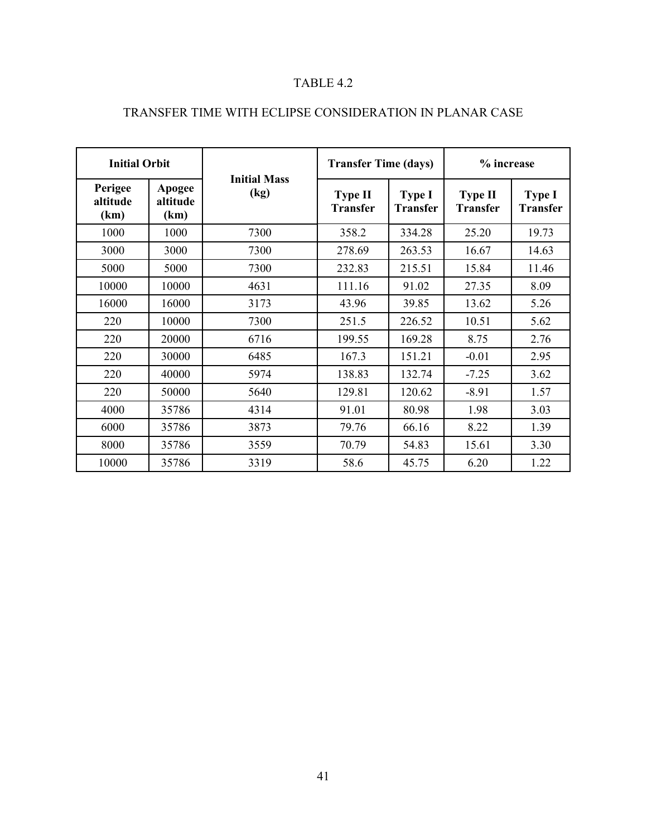### TABLE 4.2

| <b>Initial Orbit</b>        |                            |                             | <b>Transfer Time (days)</b>       |                                  | % increase                        |                                  |
|-----------------------------|----------------------------|-----------------------------|-----------------------------------|----------------------------------|-----------------------------------|----------------------------------|
| Perigee<br>altitude<br>(km) | Apogee<br>altitude<br>(km) | <b>Initial Mass</b><br>(kg) | <b>Type II</b><br><b>Transfer</b> | <b>Type I</b><br><b>Transfer</b> | <b>Type II</b><br><b>Transfer</b> | <b>Type I</b><br><b>Transfer</b> |
| 1000                        | 1000                       | 7300                        | 358.2                             | 334.28                           | 25.20                             | 19.73                            |
| 3000                        | 3000                       | 7300                        | 278.69                            | 263.53                           | 16.67                             | 14.63                            |
| 5000                        | 5000                       | 7300                        | 232.83                            | 215.51                           | 15.84                             | 11.46                            |
| 10000                       | 10000                      | 4631                        | 111.16                            | 91.02                            | 27.35                             | 8.09                             |
| 16000                       | 16000                      | 3173                        | 43.96                             | 39.85                            | 13.62                             | 5.26                             |
| 220                         | 10000                      | 7300                        | 251.5                             | 226.52                           | 10.51                             | 5.62                             |
| 220                         | 20000                      | 6716                        | 199.55                            | 169.28                           | 8.75                              | 2.76                             |
| 220                         | 30000                      | 6485                        | 167.3                             | 151.21                           | $-0.01$                           | 2.95                             |
| 220                         | 40000                      | 5974                        | 138.83                            | 132.74                           | $-7.25$                           | 3.62                             |
| 220                         | 50000                      | 5640                        | 129.81                            | 120.62                           | $-8.91$                           | 1.57                             |
| 4000                        | 35786                      | 4314                        | 91.01                             | 80.98                            | 1.98                              | 3.03                             |
| 6000                        | 35786                      | 3873                        | 79.76                             | 66.16                            | 8.22                              | 1.39                             |
| 8000                        | 35786                      | 3559                        | 70.79                             | 54.83                            | 15.61                             | 3.30                             |
| 10000                       | 35786                      | 3319                        | 58.6                              | 45.75                            | 6.20                              | 1.22                             |

# <span id="page-53-0"></span>TRANSFER TIME WITH ECLIPSE CONSIDERATION IN PLANAR CASE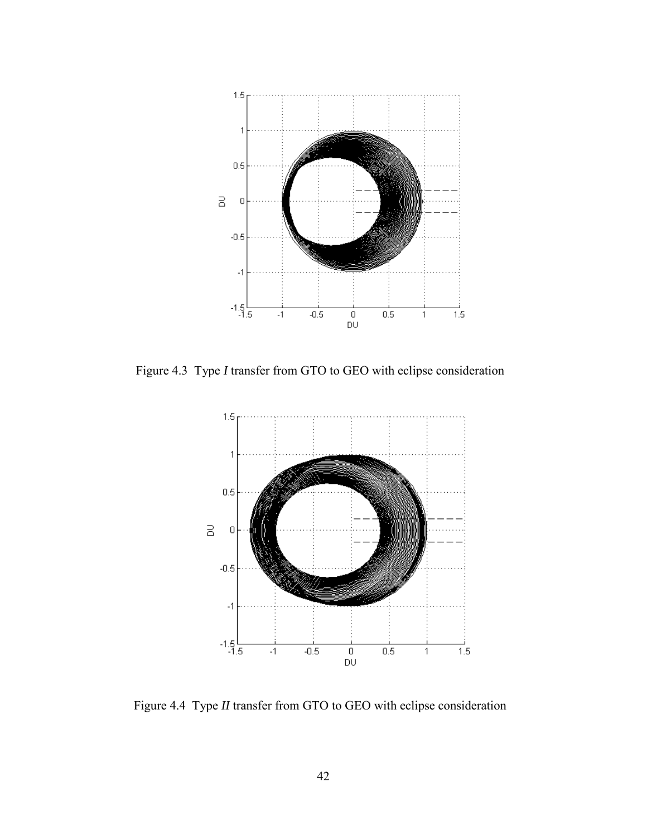

<span id="page-54-0"></span>Figure 4.3 Type *I* transfer from GTO to GEO with eclipse consideration



<span id="page-54-1"></span>Figure 4.4 Type *II* transfer from GTO to GEO with eclipse consideration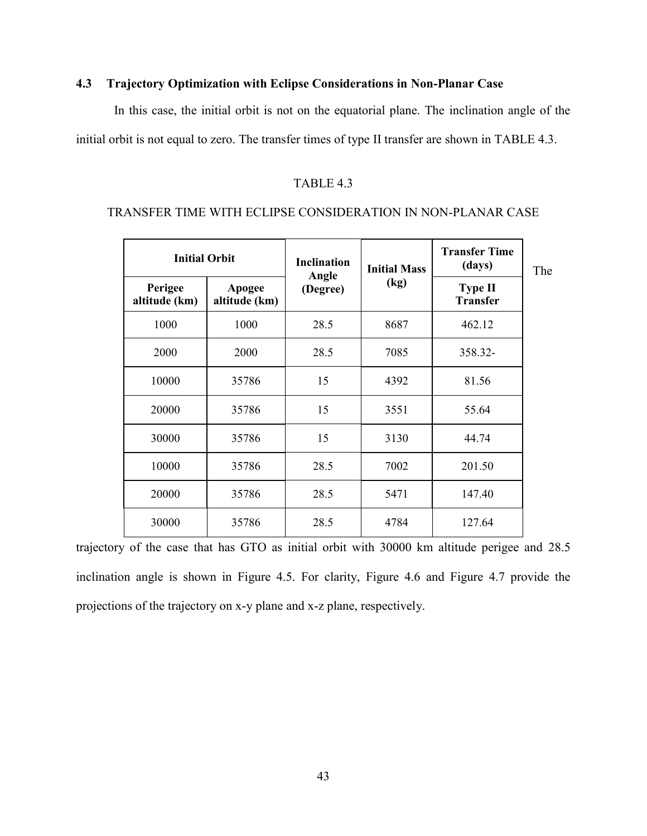### <span id="page-55-0"></span>**4.3 Trajectory Optimization with Eclipse Considerations in Non-Planar Case**

In this case, the initial orbit is not on the equatorial plane. The inclination angle of the initial orbit is not equal to zero. The transfer times of type II transfer are shown in TABLE 4.3.

### TABLE 4.3

### <span id="page-55-1"></span>TRANSFER TIME WITH ECLIPSE CONSIDERATION IN NON-PLANAR CASE

| <b>Initial Orbit</b>     |                         | <b>Inclination</b> | <b>Initial Mass</b> | <b>Transfer Time</b><br>(days)    | The |
|--------------------------|-------------------------|--------------------|---------------------|-----------------------------------|-----|
| Perigee<br>altitude (km) | Apogee<br>altitude (km) | Angle<br>(Degree)  | (kg)                | <b>Type II</b><br><b>Transfer</b> |     |
| 1000                     | 1000                    | 28.5               | 8687                | 462.12                            |     |
| 2000                     | 2000                    | 28.5               | 7085                | 358.32-                           |     |
| 10000                    | 35786                   | 15                 | 4392                | 81.56                             |     |
| 20000                    | 35786                   | 15                 | 3551                | 55.64                             |     |
| 30000                    | 35786                   | 15                 | 3130                | 44.74                             |     |
| 10000                    | 35786                   | 28.5               | 7002                | 201.50                            |     |
| 20000                    | 35786                   | 28.5               | 5471                | 147.40                            |     |
| 30000                    | 35786                   | 28.5               | 4784                | 127.64                            |     |

trajectory of the case that has GTO as initial orbit with 30000 km altitude perigee and 28.5 inclination angle is shown in [Figure 4.5.](#page-56-0) For clarity, [Figure 4.6](#page-56-1) and [Figure 4.7](#page-57-0) provide the projections of the trajectory on x-y plane and x-z plane, respectively.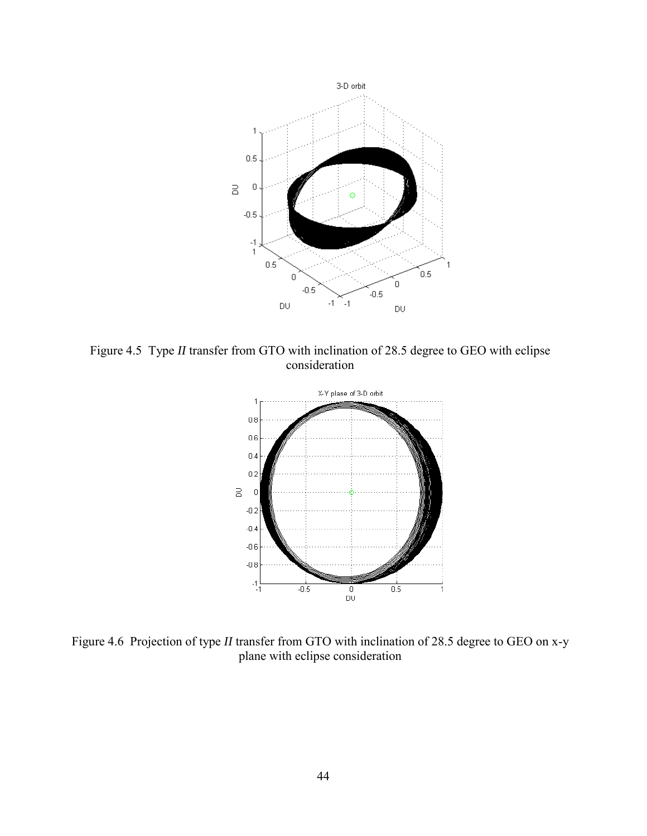

<span id="page-56-0"></span>Figure 4.5 Type *II* transfer from GTO with inclination of 28.5 degree to GEO with eclipse consideration



<span id="page-56-1"></span>Figure 4.6 Projection of type *II* transfer from GTO with inclination of 28.5 degree to GEO on x-y plane with eclipse consideration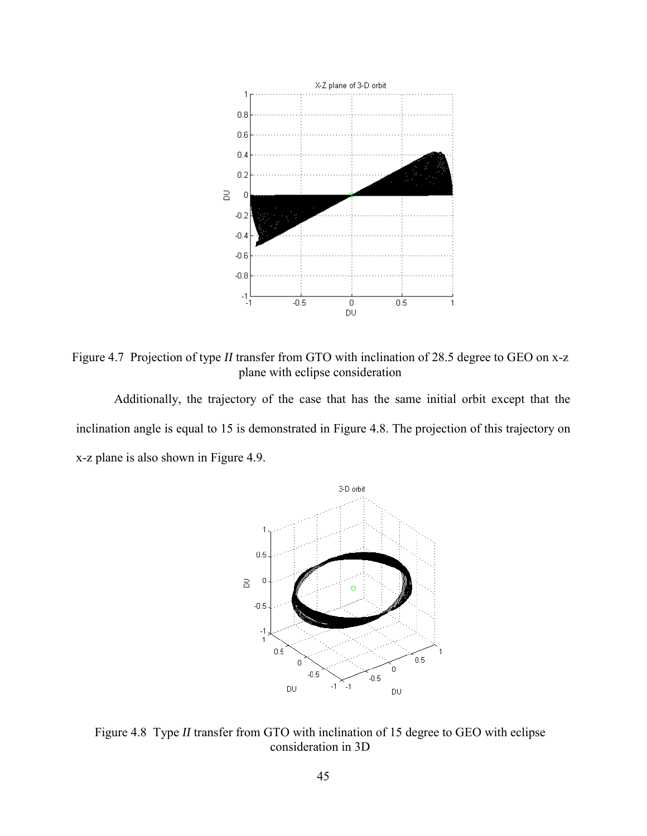

<span id="page-57-0"></span>Figure 4.7 Projection of type *II* transfer from GTO with inclination of 28.5 degree to GEO on x-z plane with eclipse consideration

Additionally, the trajectory of the case that has the same initial orbit except that the inclination angle is equal to 15 is demonstrated in [Figure 4.8.](#page-57-1) The projection of this trajectory on x-z plane is also shown in [Figure 4.9.](#page-58-1)



<span id="page-57-1"></span>Figure 4.8 Type *II* transfer from GTO with inclination of 15 degree to GEO with eclipse consideration in 3D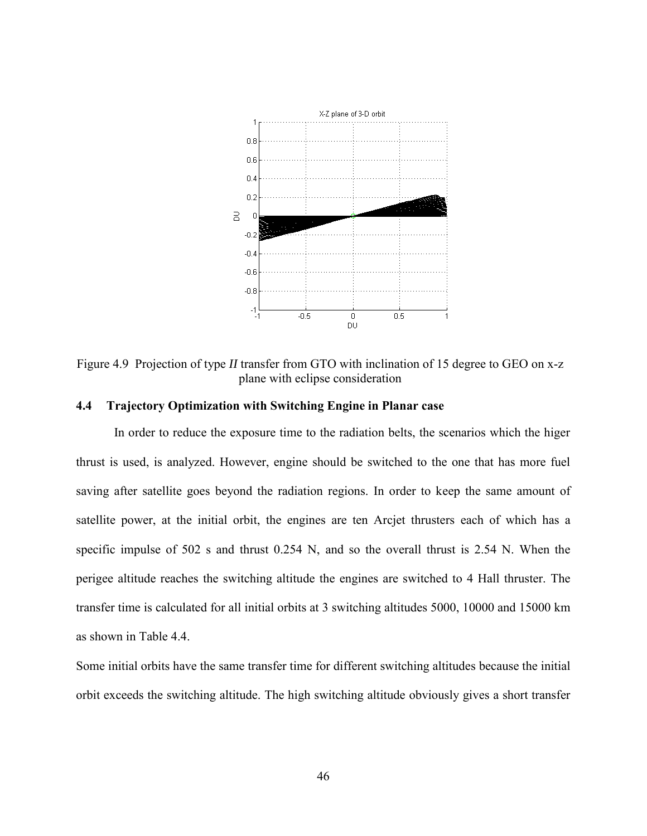

<span id="page-58-1"></span>Figure 4.9 Projection of type *II* transfer from GTO with inclination of 15 degree to GEO on x-z plane with eclipse consideration

### <span id="page-58-0"></span>**4.4 Trajectory Optimization with Switching Engine in Planar case**

In order to reduce the exposure time to the radiation belts, the scenarios which the higer thrust is used, is analyzed. However, engine should be switched to the one that has more fuel saving after satellite goes beyond the radiation regions. In order to keep the same amount of satellite power, at the initial orbit, the engines are ten Arcjet thrusters each of which has a specific impulse of 502 s and thrust 0.254 N, and so the overall thrust is 2.54 N. When the perigee altitude reaches the switching altitude the engines are switched to 4 Hall thruster. The transfer time is calculated for all initial orbits at 3 switching altitudes 5000, 10000 and 15000 km as shown in Table 4.4.

Some initial orbits have the same transfer time for different switching altitudes because the initial orbit exceeds the switching altitude. The high switching altitude obviously gives a short transfer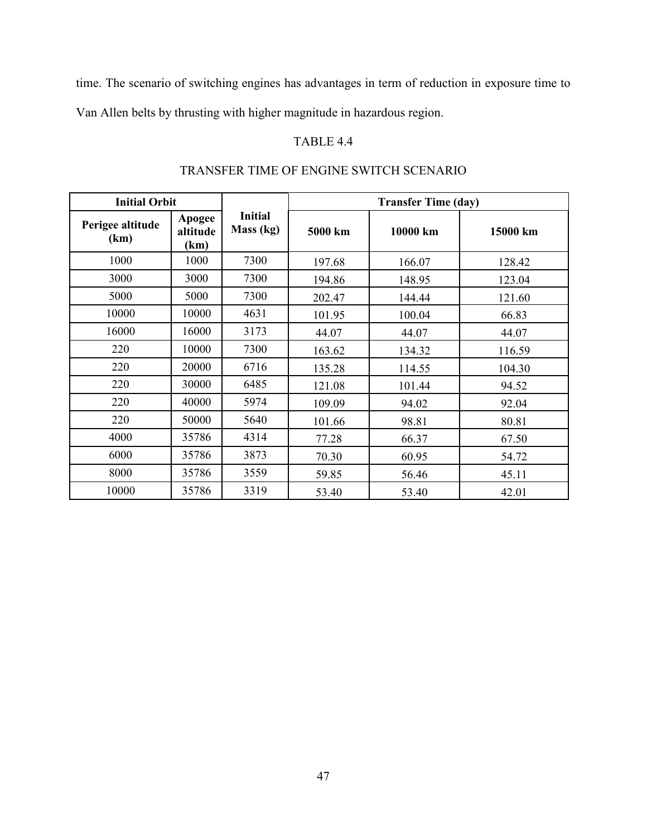time. The scenario of switching engines has advantages in term of reduction in exposure time to

<span id="page-59-0"></span>Van Allen belts by thrusting with higher magnitude in hazardous region.

### TABLE 4.4

| <b>Initial Orbit</b>     |                            |                      | <b>Transfer Time (day)</b> |          |          |  |
|--------------------------|----------------------------|----------------------|----------------------------|----------|----------|--|
| Perigee altitude<br>(km) | Apogee<br>altitude<br>(km) | Initial<br>Mass (kg) | 5000 km                    | 10000 km | 15000 km |  |
| 1000                     | 1000                       | 7300                 | 197.68                     | 166.07   | 128.42   |  |
| 3000                     | 3000                       | 7300                 | 194.86                     | 148.95   | 123.04   |  |
| 5000                     | 5000                       | 7300                 | 202.47                     | 144.44   | 121.60   |  |
| 10000                    | 10000                      | 4631                 | 101.95                     | 100.04   | 66.83    |  |
| 16000                    | 16000                      | 3173                 | 44.07                      | 44.07    | 44.07    |  |
| 220                      | 10000                      | 7300                 | 163.62                     | 134.32   | 116.59   |  |
| 220                      | 20000                      | 6716                 | 135.28                     | 114.55   | 104.30   |  |
| 220                      | 30000                      | 6485                 | 121.08                     | 101.44   | 94.52    |  |
| 220                      | 40000                      | 5974                 | 109.09                     | 94.02    | 92.04    |  |
| 220                      | 50000                      | 5640                 | 101.66                     | 98.81    | 80.81    |  |
| 4000                     | 35786                      | 4314                 | 77.28                      | 66.37    | 67.50    |  |
| 6000                     | 35786                      | 3873                 | 70.30                      | 60.95    | 54.72    |  |
| 8000                     | 35786                      | 3559                 | 59.85                      | 56.46    | 45.11    |  |
| 10000                    | 35786                      | 3319                 | 53.40                      | 53.40    | 42.01    |  |

# TRANSFER TIME OF ENGINE SWITCH SCENARIO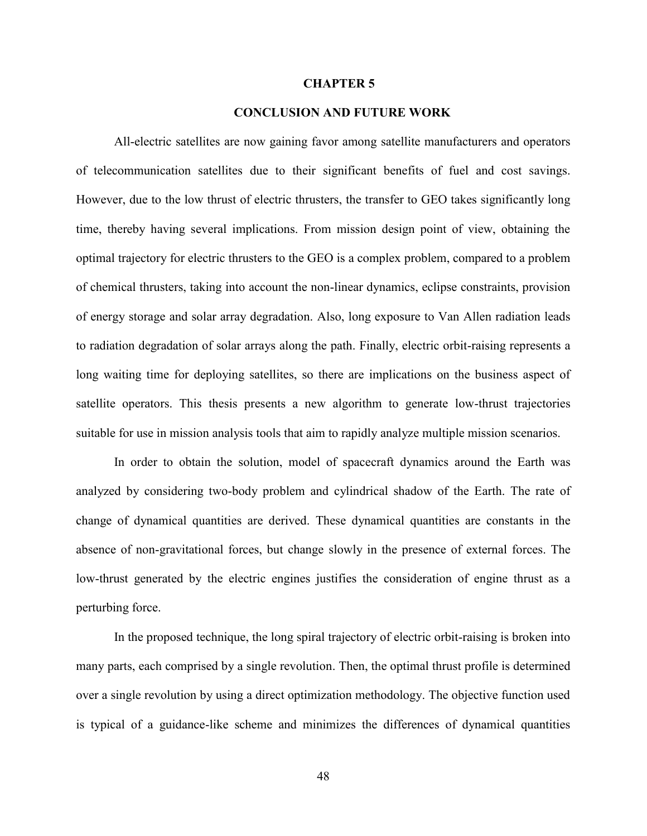#### **CHAPTER 5**

### **5. CONCLUSION AND FUTURE WORK**

<span id="page-60-0"></span>All-electric satellites are now gaining favor among satellite manufacturers and operators of telecommunication satellites due to their significant benefits of fuel and cost savings. However, due to the low thrust of electric thrusters, the transfer to GEO takes significantly long time, thereby having several implications. From mission design point of view, obtaining the optimal trajectory for electric thrusters to the GEO is a complex problem, compared to a problem of chemical thrusters, taking into account the non-linear dynamics, eclipse constraints, provision of energy storage and solar array degradation. Also, long exposure to Van Allen radiation leads to radiation degradation of solar arrays along the path. Finally, electric orbit-raising represents a long waiting time for deploying satellites, so there are implications on the business aspect of satellite operators. This thesis presents a new algorithm to generate low-thrust trajectories suitable for use in mission analysis tools that aim to rapidly analyze multiple mission scenarios.

In order to obtain the solution, model of spacecraft dynamics around the Earth was analyzed by considering two-body problem and cylindrical shadow of the Earth. The rate of change of dynamical quantities are derived. These dynamical quantities are constants in the absence of non-gravitational forces, but change slowly in the presence of external forces. The low-thrust generated by the electric engines justifies the consideration of engine thrust as a perturbing force.

In the proposed technique, the long spiral trajectory of electric orbit-raising is broken into many parts, each comprised by a single revolution. Then, the optimal thrust profile is determined over a single revolution by using a direct optimization methodology. The objective function used is typical of a guidance-like scheme and minimizes the differences of dynamical quantities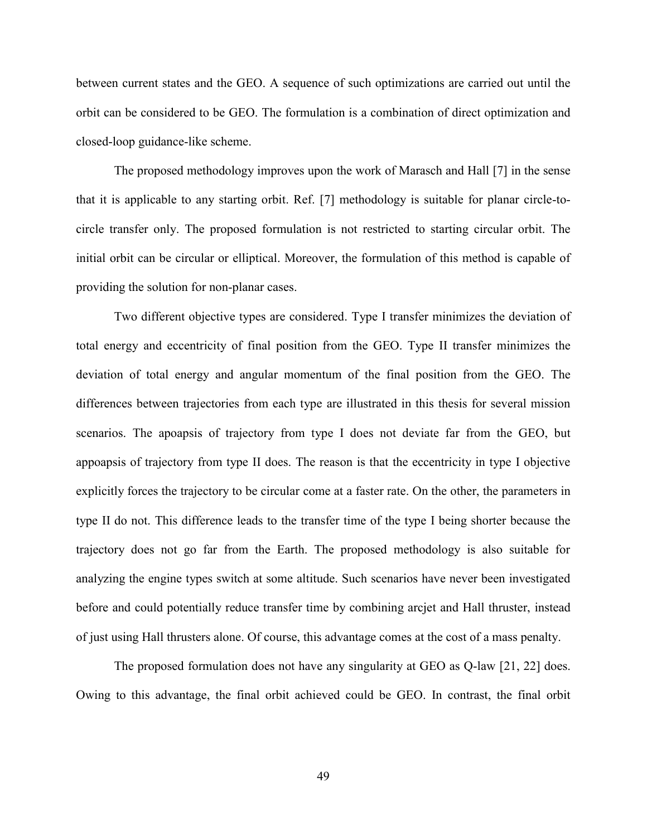between current states and the GEO. A sequence of such optimizations are carried out until the orbit can be considered to be GEO. The formulation is a combination of direct optimization and closed-loop guidance-like scheme.

The proposed methodology improves upon the work of Marasch and Hall [\[7\]](#page-64-4) in the sense that it is applicable to any starting orbit. Ref. [\[7\]](#page-64-4) methodology is suitable for planar circle-tocircle transfer only. The proposed formulation is not restricted to starting circular orbit. The initial orbit can be circular or elliptical. Moreover, the formulation of this method is capable of providing the solution for non-planar cases.

Two different objective types are considered. Type I transfer minimizes the deviation of total energy and eccentricity of final position from the GEO. Type II transfer minimizes the deviation of total energy and angular momentum of the final position from the GEO. The differences between trajectories from each type are illustrated in this thesis for several mission scenarios. The apoapsis of trajectory from type I does not deviate far from the GEO, but appoapsis of trajectory from type II does. The reason is that the eccentricity in type I objective explicitly forces the trajectory to be circular come at a faster rate. On the other, the parameters in type II do not. This difference leads to the transfer time of the type I being shorter because the trajectory does not go far from the Earth. The proposed methodology is also suitable for analyzing the engine types switch at some altitude. Such scenarios have never been investigated before and could potentially reduce transfer time by combining arcjet and Hall thruster, instead of just using Hall thrusters alone. Of course, this advantage comes at the cost of a mass penalty.

The proposed formulation does not have any singularity at GEO as Q-law [\[21,](#page-65-9) [22\]](#page-65-10) does. Owing to this advantage, the final orbit achieved could be GEO. In contrast, the final orbit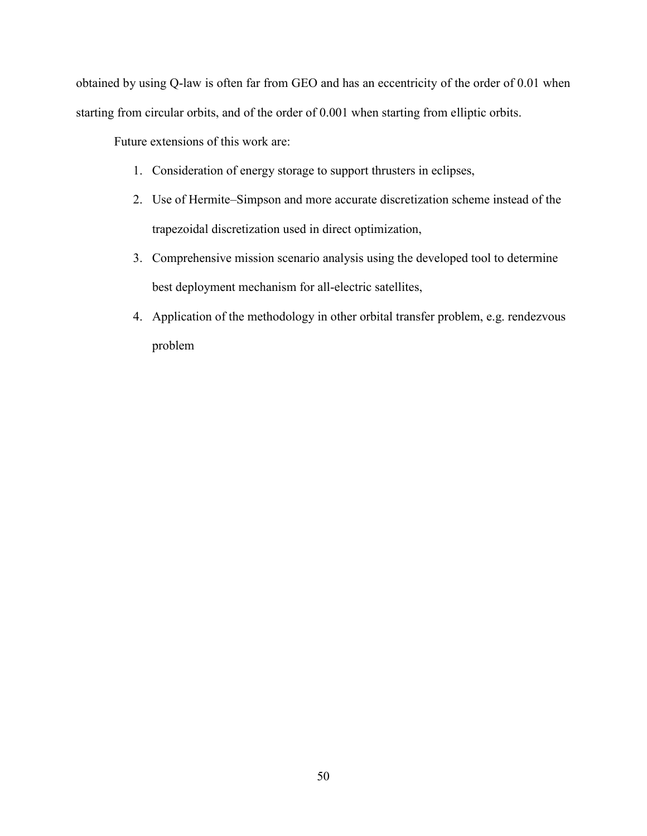obtained by using Q-law is often far from GEO and has an eccentricity of the order of 0.01 when starting from circular orbits, and of the order of 0.001 when starting from elliptic orbits.

Future extensions of this work are:

- 1. Consideration of energy storage to support thrusters in eclipses,
- 2. Use of Hermite–Simpson and more accurate discretization scheme instead of the trapezoidal discretization used in direct optimization,
- 3. Comprehensive mission scenario analysis using the developed tool to determine best deployment mechanism for all-electric satellites,
- 4. Application of the methodology in other orbital transfer problem, e.g. rendezvous problem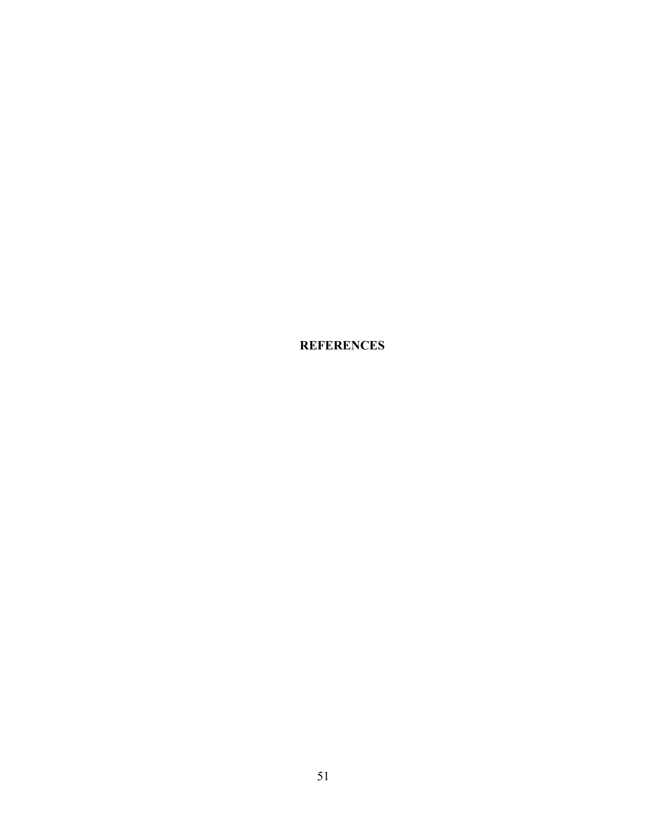<span id="page-63-0"></span>**6. REFERENCES**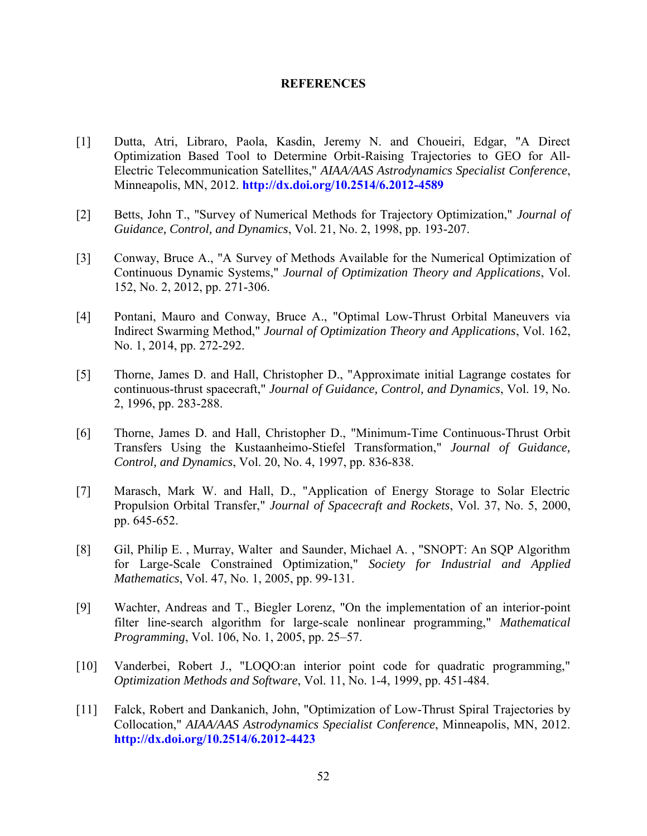#### **REFERENCES**

- <span id="page-64-0"></span>[1] Dutta, Atri, Libraro, Paola, Kasdin, Jeremy N. and Choueiri, Edgar, "A Direct Optimization Based Tool to Determine Orbit-Raising Trajectories to GEO for All-Electric Telecommunication Satellites," *AIAA/AAS Astrodynamics Specialist Conference*, Minneapolis, MN, 2012. **<http://dx.doi.org/10.2514/6.2012-4589>**
- <span id="page-64-1"></span>[2] Betts, John T., "Survey of Numerical Methods for Trajectory Optimization," *Journal of Guidance, Control, and Dynamics*, Vol. 21, No. 2, 1998, pp. 193-207.
- <span id="page-64-8"></span>[3] Conway, Bruce A., "A Survey of Methods Available for the Numerical Optimization of Continuous Dynamic Systems," *Journal of Optimization Theory and Applications*, Vol. 152, No. 2, 2012, pp. 271-306.
- [4] Pontani, Mauro and Conway, Bruce A., "Optimal Low-Thrust Orbital Maneuvers via Indirect Swarming Method," *Journal of Optimization Theory and Applications*, Vol. 162, No. 1, 2014, pp. 272-292.
- <span id="page-64-2"></span>[5] Thorne, James D. and Hall, Christopher D., "Approximate initial Lagrange costates for continuous-thrust spacecraft," *Journal of Guidance, Control, and Dynamics*, Vol. 19, No. 2, 1996, pp. 283-288.
- <span id="page-64-3"></span>[6] Thorne, James D. and Hall, Christopher D., "Minimum-Time Continuous-Thrust Orbit Transfers Using the Kustaanheimo-Stiefel Transformation," *Journal of Guidance, Control, and Dynamics*, Vol. 20, No. 4, 1997, pp. 836-838.
- <span id="page-64-4"></span>[7] Marasch, Mark W. and Hall, D., "Application of Energy Storage to Solar Electric Propulsion Orbital Transfer," *Journal of Spacecraft and Rockets*, Vol. 37, No. 5, 2000, pp. 645-652.
- <span id="page-64-5"></span>[8] Gil, Philip E. , Murray, Walter and Saunder, Michael A. , "SNOPT: An SQP Algorithm for Large-Scale Constrained Optimization," *Society for Industrial and Applied Mathematics*, Vol. 47, No. 1, 2005, pp. 99-131.
- <span id="page-64-6"></span>[9] Wachter, Andreas and T., Biegler Lorenz, "On the implementation of an interior-point filter line-search algorithm for large-scale nonlinear programming," *Mathematical Programming*, Vol. 106, No. 1, 2005, pp. 25–57.
- <span id="page-64-7"></span>[10] Vanderbei, Robert J., "LOQO:an interior point code for quadratic programming," *Optimization Methods and Software*, Vol. 11, No. 1-4, 1999, pp. 451-484.
- <span id="page-64-9"></span>[11] Falck, Robert and Dankanich, John, "Optimization of Low-Thrust Spiral Trajectories by Collocation," *AIAA/AAS Astrodynamics Specialist Conference*, Minneapolis, MN, 2012. **<http://dx.doi.org/10.2514/6.2012-4423>**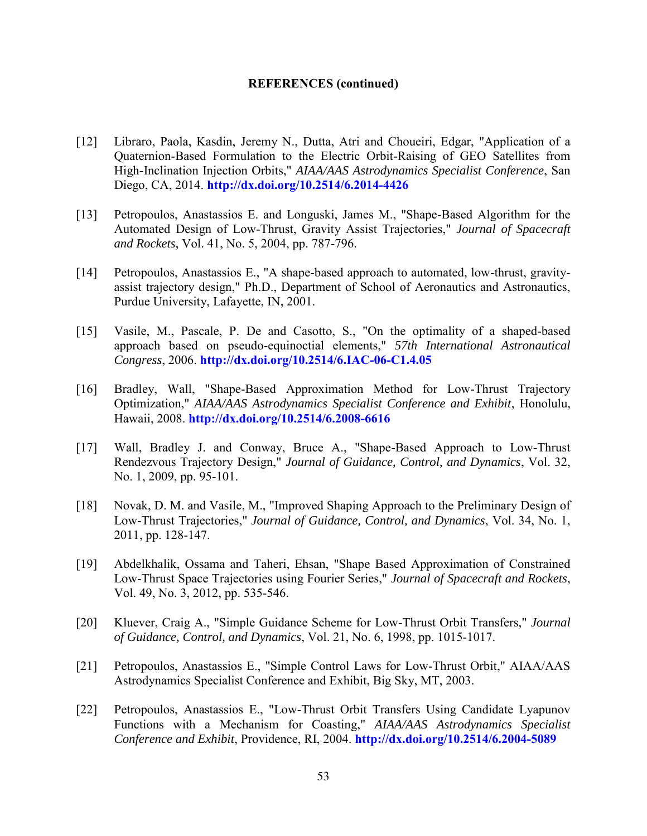#### **REFERENCES (continued)**

- <span id="page-65-0"></span>[12] Libraro, Paola, Kasdin, Jeremy N., Dutta, Atri and Choueiri, Edgar, "Application of a Quaternion-Based Formulation to the Electric Orbit-Raising of GEO Satellites from High-Inclination Injection Orbits," *AIAA/AAS Astrodynamics Specialist Conference*, San Diego, CA, 2014. **<http://dx.doi.org/10.2514/6.2014-4426>**
- <span id="page-65-1"></span>[13] Petropoulos, Anastassios E. and Longuski, James M., "Shape-Based Algorithm for the Automated Design of Low-Thrust, Gravity Assist Trajectories," *Journal of Spacecraft and Rockets*, Vol. 41, No. 5, 2004, pp. 787-796.
- <span id="page-65-2"></span>[14] Petropoulos, Anastassios E., "A shape-based approach to automated, low-thrust, gravityassist trajectory design," Ph.D., Department of School of Aeronautics and Astronautics, Purdue University, Lafayette, IN, 2001.
- <span id="page-65-3"></span>[15] Vasile, M., Pascale, P. De and Casotto, S., "On the optimality of a shaped-based approach based on pseudo-equinoctial elements," *57th International Astronautical Congress*, 2006. **<http://dx.doi.org/10.2514/6.IAC-06-C1.4.05>**
- <span id="page-65-4"></span>[16] Bradley, Wall, "Shape-Based Approximation Method for Low-Thrust Trajectory Optimization," *AIAA/AAS Astrodynamics Specialist Conference and Exhibit*, Honolulu, Hawaii, 2008. **<http://dx.doi.org/10.2514/6.2008-6616>**
- <span id="page-65-5"></span>[17] Wall, Bradley J. and Conway, Bruce A., "Shape-Based Approach to Low-Thrust Rendezvous Trajectory Design," *Journal of Guidance, Control, and Dynamics*, Vol. 32, No. 1, 2009, pp. 95-101.
- <span id="page-65-6"></span>[18] Novak, D. M. and Vasile, M., "Improved Shaping Approach to the Preliminary Design of Low-Thrust Trajectories," *Journal of Guidance, Control, and Dynamics*, Vol. 34, No. 1, 2011, pp. 128-147.
- <span id="page-65-7"></span>[19] Abdelkhalik, Ossama and Taheri, Ehsan, "Shape Based Approximation of Constrained Low-Thrust Space Trajectories using Fourier Series," *Journal of Spacecraft and Rockets*, Vol. 49, No. 3, 2012, pp. 535-546.
- <span id="page-65-8"></span>[20] Kluever, Craig A., "Simple Guidance Scheme for Low-Thrust Orbit Transfers," *Journal of Guidance, Control, and Dynamics*, Vol. 21, No. 6, 1998, pp. 1015-1017.
- <span id="page-65-9"></span>[21] Petropoulos, Anastassios E., "Simple Control Laws for Low-Thrust Orbit," AIAA/AAS Astrodynamics Specialist Conference and Exhibit, Big Sky, MT, 2003.
- <span id="page-65-10"></span>[22] Petropoulos, Anastassios E., "Low-Thrust Orbit Transfers Using Candidate Lyapunov Functions with a Mechanism for Coasting," *AIAA/AAS Astrodynamics Specialist Conference and Exhibit*, Providence, RI, 2004. **<http://dx.doi.org/10.2514/6.2004-5089>**